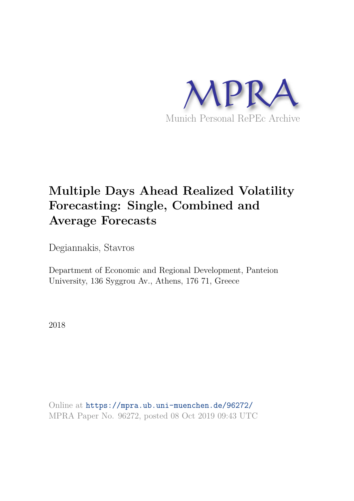

# **Multiple Days Ahead Realized Volatility Forecasting: Single, Combined and Average Forecasts**

Degiannakis, Stavros

Department of Economic and Regional Development, Panteion University, 136 Syggrou Av., Athens, 176 71, Greece

2018

Online at https://mpra.ub.uni-muenchen.de/96272/ MPRA Paper No. 96272, posted 08 Oct 2019 09:43 UTC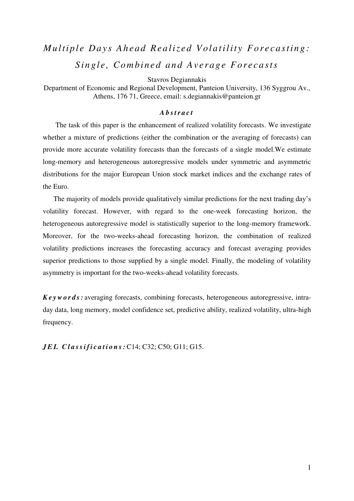# *Multiple Days Ahead Realized Volatility Forecasting:* Single, Combined and Average Forecasts

Stavros Degiannakis

Department of Economic and Regional Development, Panteion University, 136 Syggrou Av., Athens, 176 71, Greece, email: s.degiannakis@panteion.gr

# *A b s t r a c t*

The task of this paper is the enhancement of realized volatility forecasts. We investigate whether a mixture of predictions (either the combination or the averaging of forecasts) can provide more accurate volatility forecasts than the forecasts of a single model.We estimate long-memory and heterogeneous autoregressive models under symmetric and asymmetric distributions for the major European Union stock market indices and the exchange rates of the Euro.

The majority of models provide qualitatively similar predictions for the next trading day's volatility forecast. However, with regard to the one-week forecasting horizon, the heterogeneous autoregressive model is statistically superior to the long-memory framework. Moreover, for the two-weeks-ahead forecasting horizon, the combination of realized volatility predictions increases the forecasting accuracy and forecast averaging provides superior predictions to those supplied by a single model. Finally, the modeling of volatility asymmetry is important for the two-weeks-ahead volatility forecasts.

*K e y w o r d s :* averaging forecasts, combining forecasts, heterogeneous autoregressive, intraday data, long memory, model confidence set, predictive ability, realized volatility, ultra-high frequency.

*J E L C l a s s i f i c a t i o n s :* C14; C32; C50; G11; G15.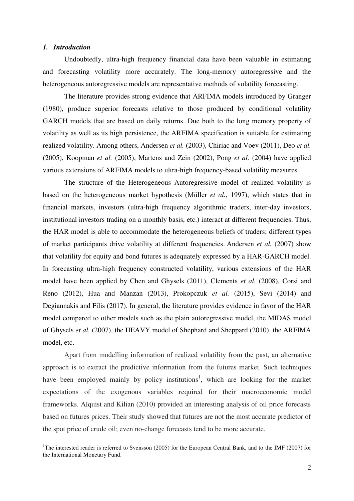### *1. Introduction*

-

 Undoubtedly, ultra-high frequency financial data have been valuable in estimating and forecasting volatility more accurately. The long-memory autoregressive and the heterogeneous autoregressive models are representative methods of volatility forecasting.

The literature provides strong evidence that ARFIMA models introduced by Granger (1980), produce superior forecasts relative to those produced by conditional volatility GARCH models that are based on daily returns. Due both to the long memory property of volatility as well as its high persistence, the ARFIMA specification is suitable for estimating realized volatility. Among others, Andersen *et al.* (2003), Chiriac and Voev (2011), Deo *et al.* (2005), Koopman *et al.* (2005), Martens and Zein (2002), Pong *et al.* (2004) have applied various extensions of ARFIMA models to ultra-high frequency-based volatility measures.

The structure of the Heterogeneous Autoregressive model of realized volatility is based on the heterogeneous market hypothesis (Müller *et al.*, 1997), which states that in financial markets, investors (ultra-high frequency algorithmic traders, inter-day investors, institutional investors trading on a monthly basis, etc.) interact at different frequencies. Thus, the HAR model is able to accommodate the heterogeneous beliefs of traders; different types of market participants drive volatility at different frequencies. Andersen *et al.* (2007) show that volatility for equity and bond futures is adequately expressed by a HAR-GARCH model. In forecasting ultra-high frequency constructed volatility, various extensions of the HAR model have been applied by Chen and Ghysels (2011), Clements *et al.* (2008), Corsi and Reno (2012), Hua and Manzan (2013), Prokopczuk *et al.* (2015), Sevi (2014) and Degiannakis and Filis (2017). In general, the literature provides evidence in favor of the HAR model compared to other models such as the plain autoregressive model, the MIDAS model of Ghysels *et al.* (2007), the HEAVY model of Shephard and Sheppard (2010), the ARFIMA model, etc.

Apart from modelling information of realized volatility from the past, an alternative approach is to extract the predictive information from the futures market. Such techniques have been employed mainly by policy institutions<sup>1</sup>, which are looking for the market expectations of the exogenous variables required for their macroeconomic model frameworks. Alquist and Kilian (2010) provided an interesting analysis of oil price forecasts based on futures prices. Their study showed that futures are not the most accurate predictor of the spot price of crude oil; even no-change forecasts tend to be more accurate.

<sup>&</sup>lt;sup>1</sup>The interested reader is referred to Svensson (2005) for the European Central Bank, and to the IMF (2007) for the International Monetary Fund.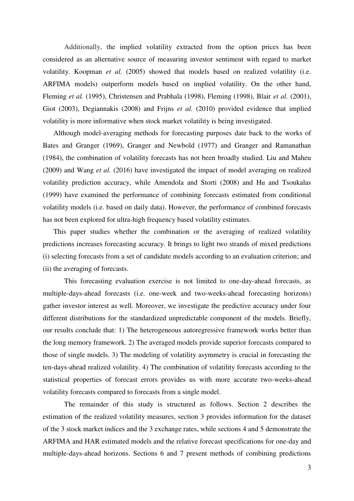Additionally, the implied volatility extracted from the option prices has been considered as an alternative source of measuring investor sentiment with regard to market volatility. Koopman *et al.* (2005) showed that models based on realized volatility (i.e. ARFIMA models) outperform models based on implied volatility. On the other hand, Fleming *et al.* (1995), Christensen and Prabhala (1998), Fleming (1998), Blair *et al.* (2001), Giot (2003), Degiannakis (2008) and Frijns *et al.* (2010) provided evidence that implied volatility is more informative when stock market volatility is being investigated.

Although model-averaging methods for forecasting purposes date back to the works of Bates and Granger (1969), Granger and Newbold (1977) and Granger and Ramanathan (1984), the combination of volatility forecasts has not been broadly studied. Liu and Maheu (2009) and Wang *et al.* (2016) have investigated the impact of model averaging on realized volatility prediction accuracy, while Amendola and Storti (2008) and Hu and Tsoukalas (1999) have examined the performance of combining forecasts estimated from conditional volatility models (i.e. based on daily data). However, the performance of combined forecasts has not been explored for ultra-high frequency based volatility estimates.

This paper studies whether the combination or the averaging of realized volatility predictions increases forecasting accuracy. It brings to light two strands of mixed predictions (i) selecting forecasts from a set of candidate models according to an evaluation criterion; and (ii) the averaging of forecasts.

This forecasting evaluation exercise is not limited to one-day-ahead forecasts, as multiple-days-ahead forecasts (i.e. one-week and two-weeks-ahead forecasting horizons) gather investor interest as well. Moreover, we investigate the predictive accuracy under four different distributions for the standardized unpredictable component of the models. Briefly, our results conclude that: 1) The heterogeneous autoregressive framework works better than the long memory framework. 2) The averaged models provide superior forecasts compared to those of single models. 3) The modeling of volatility asymmetry is crucial in forecasting the ten-days-ahead realized volatility. 4) The combination of volatility forecasts according to the statistical properties of forecast errors provides us with more accurate two-weeks-ahead volatility forecasts compared to forecasts from a single model.

The remainder of this study is structured as follows. Section 2 describes the estimation of the realized volatility measures, section 3 provides information for the dataset of the 3 stock market indices and the 3 exchange rates, while sections 4 and 5 demonstrate the ARFIMA and HAR estimated models and the relative forecast specifications for one-day and multiple-days-ahead horizons. Sections 6 and 7 present methods of combining predictions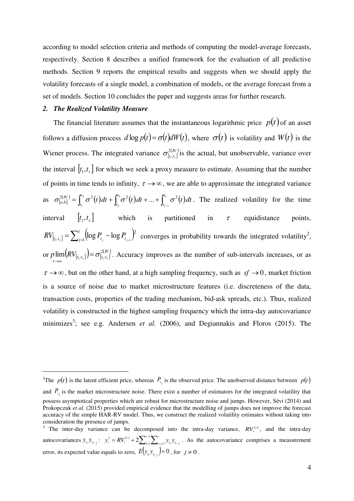according to model selection criteria and methods of computing the model-average forecasts, respectively. Section 8 describes a unified framework for the evaluation of all predictive methods. Section 9 reports the empirical results and suggests when we should apply the volatility forecasts of a single model, a combination of models, or the average forecast from a set of models. Section 10 concludes the paper and suggests areas for further research.

# *2. The Realized Volatility Measure*

-

The financial literature assumes that the instantaneous logarithmic price  $p(t)$  of an asset follows a diffusion process  $d \log p(t) = \sigma(t) dW(t)$ , where  $\sigma(t)$  is volatility and  $W(t)$  is the Wiener process. The integrated variance  $\sigma^{2(N)}_{[t_1,t_r]}$  $t_1$ , $t_2$ 2  $\sigma_{[t_1,t_r]}^{2(W)}$  is the actual, but unobservable, variance over the interval  $[t_1, t_1]$  for which we seek a proxy measure to estimate. Assuming that the number of points in time tends to infinity,  $\tau \rightarrow \infty$ , we are able to approximate the integrated variance as  $\sigma_{[a,b]}^{2(N)} = \int_{t_1}^{t_2} \sigma^2(t) dt + \int_{t_2}^{t_3} \sigma^2(t) dt + ... + \int_{t_{r-1}}^{t_r} \sigma^2(t) dt$ z  $\sigma_{t-1}^{2(N)} = \int_{0}^{t_2} \sigma^2(t) dt + \int_{0}^{t_3} \sigma^2(t) dt + ... + \int_{0}^{t_r} \sigma^2(t) dt$ *t t t t t IV*  $\mathcal{L}_{a,b}^{(IV)} = \int_{t_1}^{t_2} \sigma^2(t)dt + \int_{t_2}^{t_3} \sigma^2(t)dt + ... + \int_{t_{r-1}}^{t_r} \sigma^2(t)dt$ 3 2 2 1  $2(N) = \int_{0}^{12} \frac{1}{2} (t) dt + \int_{0}^{13} \frac{1}{2} (t) dt + \int_{0}^{17} \frac{1}{2} dt$  $\sigma^{(N)}_{[b]} = \int_{a}^{b} \sigma^{2}(t) dt + \int_{c}^{b} \sigma^{2}(t) dt + ... + \int_{c}^{b} \sigma^{2}(t) dt$ . The realized volatility for the time interval  $[t_1, t_{\tau}]$ which is partitioned in  $\tau$  equidistance points,  $I_{[t_1,t_r]} = \sum_{j=1}^{\tau} \left( \log P_{t_j} - \log P_{t_{j-1}} \right)^2$  $\tau$   $\Box$   $j=1$ 2  $RV_{[t_1,t_r]} = \sum_{j=1}^{n} (\log P_{t_j} - \log P_{t_{j-1}})^2$  converges in probability towards the integrated volatility<sup>2</sup>, or  $p \lim_{t \to t_{r}} (RV_{[t_1,t_r]}) = \sigma^{2(N)}_{[t_1,t_r]}$  $\lim_{[t_1,t_{\tau}]}[RV_{[t_1,t_{\tau}]}]=\sigma^{2(N)}_{[t_1,t_{\tau}]}$ τ  $=$  $\lim_{x\to\infty}$   $(RV_{[t_1,t_r]}) = \sigma_{[t_1,t_r]}^{2(N)}$ . Accuracy improves as the number of sub-intervals increases, or as  $\tau \rightarrow \infty$ , but on the other hand, at a high sampling frequency, such as  $sf \rightarrow 0$ , market friction is a source of noise due to market microstructure features (i.e. discreteness of the data, transaction costs, properties of the trading mechanism, bid-ask spreads, etc.). Thus, realized volatility is constructed in the highest sampling frequency which the intra-day autocovariance minimizes<sup>3</sup>; see e.g. Andersen *et al.* (2006), and Degiannakis and Floros (2015). The

<sup>&</sup>lt;sup>2</sup>The  $p(t)$  is the latent efficient price, whereas  $P_{t_j}$  is the observed price. The unobserved distance between  $p(t)$ 

and  $P_{t_j}$  is the market microstructure noise. There exist a number of estimators for the integrated volatility that possess asymptotical properties which are robust for microstructure noise and jumps. However, Sévi (2014) and Prokopczuk *et al.* (2015) provided empirical evidence that the modelling of jumps does not improve the forecast accuracy of the simple HAR-RV model. Thus, we construct the realized volatility estimates without taking into consideration the presence of jumps.

<sup>&</sup>lt;sup>3</sup> The inter-day variance can be decomposed into the intra-day variance,  $RV_t^{(r)}$ , and the intra-day autocovariances  $y_{t_i} y_{t_{i-j}}$ :  $y_t^2 = R V_t^{(r)} + 2 \sum_{j=1}^{r-1} \sum_{i=j+1}^{r} y_{t_i} y_{t_{i-j}}$ 1 1  $y_t^2 = RV_t^{(r)} + 2 \sum_{j=1}^{r-1} \sum_{i=j+1}^{r} y_{t_i} y_{t_{i-j}}$ . As the autocovariance comprises a measurement error, its expected value equals to zero,  $E(y_i, y_{i_{i-j}}) = 0$ , for  $j \neq 0$ .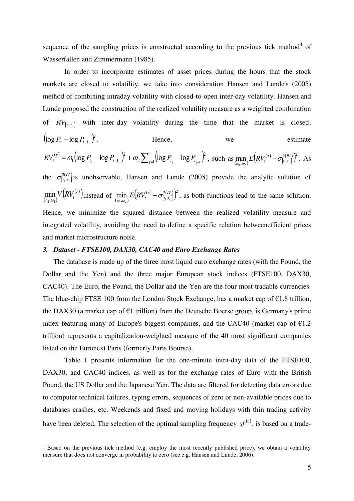sequence of the sampling prices is constructed according to the previous tick method $4$  of Wasserfallen and Zimmermann (1985).

In order to incorporate estimates of asset prices during the hours that the stock markets are closed to volatility, we take into consideration Hansen and Lunde's (2005) method of combining intraday volatility with closed-to-open inter-day volatility. Hansen and Lunde proposed the construction of the realized volatility measure as a weighted combination of  $RV_{[t_1,t_r]}$  with inter-day volatility during the time that the market is closed;  $\left(\log P_{t_1} - \log P_{t-1} \right)^2$ . . Hence, we estimate  $\Gamma^{(r)} = \omega_1 \Big( \log P_{t_1} - \log P_{t-1} \Big)^2 + \omega_2 \sum_{j=1}^{\tau} \Big( \log P_{t_j} - \log P_{t_{j-1}} \Big)^2,$ 2 2 2  $RV_t^{(\tau)} = \omega_1 \left( \log P_{t_1} - \log P_{t-1_t} \right)^{\tau} + \omega_2 \sum_{j=1}^{\tau} \left( \log P_{t_j} - \log P_{t_{j-1}} \right)^{\tau}$ , such as  $\min_{(\omega_1, \omega_2)}$  $(\tau)$  $\min_{(a_1, a_2)} E\Big(RV_t^{(\tau)} - \sigma^{2(N)}_{[t_1, t_r]}\Big)^2$  .  $\min_{\omega_{1},\omega_{2}} E(RV_{t}^{(\tau)} - \sigma_{[t_{1},t_{\tau}]}^{2(N)})^{2}$ . As the  $\sigma^{2(N)}_{[t_1,t_{\tau}]}$  $t_1$ ,  $t_2$ 2  $\sigma_{[t_1,t_r]}^{(uv)}$  is unobservable, Hansen and Lunde (2005) provide the analytic solution of  $\min_{(\omega_1,\omega_2)} V(RV_t^{(\tau)})$  instead of  $\min_{(\omega_1,\omega_2)}$  $(\tau)$  $\min_{[a_1, a_2)} E\Big(RV_t^{(\tau)} - \sigma^{2(N)}_{[t_1, t_r]}\Big)^2\,,$  $\min_{\omega_i,\omega_j} E(RV_t^{(\tau)} - \sigma_{[t_1,t_{\tau}]}^{2(N)})^2$ , as both functions lead to the same solution. Hence, we minimize the squared distance between the realized volatility measure and integrated volatility, avoiding the need to define a specific relation betweenefficient prices and market microstructure noise.

## *3. Dataset - FTSE100, DAX30, CAC40 and Euro Exchange Rates*

The database is made up of the three most liquid euro exchange rates (with the Pound, the Dollar and the Yen) and the three major European stock indices (FTSE100, DAX30, CAC40). The Euro, the Pound, the Dollar and the Yen are the four most tradable currencies. The blue-chip FTSE 100 from the London Stock Exchange, has a market cap of  $E1.8$  trillion, the DAX30 (a market cap of  $\epsilon$ 1 trillion) from the Deutsche Boerse group, is Germany's prime index featuring many of Europe's biggest companies, and the CAC40 (market cap of  $\epsilon$ 1.2 trillion) represents a capitalization-weighted measure of the 40 most significant companies listed on the Euronext Paris (formerly Paris Bourse).

Table 1 presents information for the one-minute intra-day data of the FTSE100, DAX30, and CAC40 indices, as well as for the exchange rates of Euro with the British Pound, the US Dollar and the Japanese Yen. The data are filtered for detecting data errors due to computer technical failures, typing errors, sequences of zero or non-available prices due to databases crashes, etc. Weekends and fixed and moving holidays with thin trading activity have been deleted. The selection of the optimal sampling frequency  $sf^{(o)}$ , is based on a trade-

<sup>&</sup>lt;sup>4</sup> Based on the previous tick method (e.g. employ the most recently published price), we obtain a volatility measure that does not converge in probability to zero (see e.g. Hansen and Lunde, 2006).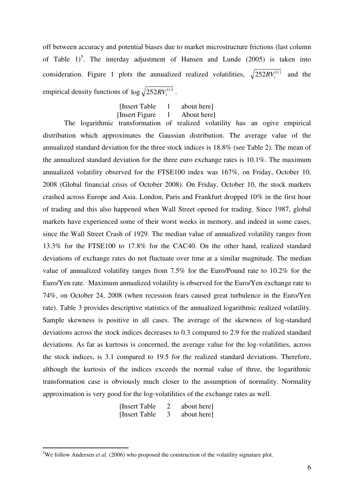off between accuracy and potential biases due to market microstructure frictions (last column of Table  $1$ <sup>5</sup>. The interday adjustment of Hansen and Lunde (2005) is taken into consideration. Figure 1 plots the annualized realized volatilities,  $\sqrt{252RV_t^{(r)}}$  and the empirical density functions of  $\log \sqrt{252RV_t^{(r)}}$ .

> [Insert Table 1 about here] [Insert Figure 1 About here]

The logarithmic transformation of realized volatility has an ogive empirical distribution which approximates the Gaussian distribution. The average value of the annualized standard deviation for the three stock indices is 18.8% (see Table 2). The mean of the annualized standard deviation for the three euro exchange rates is 10.1%. The maximum annualized volatility observed for the FTSE100 index was 167%, on Friday, October 10, 2008 (Global financial crisis of October 2008). On Friday, October 10, the stock markets crashed across Europe and Asia. London, Paris and Frankfurt dropped 10% in the first hour of trading and this also happened when Wall Street opened for trading. Since 1987, global markets have experienced some of their worst weeks in memory, and indeed in some cases, since the Wall Street Crash of 1929. The median value of annualized volatility ranges from 13.3% for the FTSE100 to 17.8% for the CAC40. On the other hand, realized standard deviations of exchange rates do not fluctuate over time at a similar magnitude. The median value of annualized volatility ranges from 7.5% for the Euro/Pound rate to 10.2% for the Euro/Yen rate. Maximum annualized volatility is observed for the Euro/Yen exchange rate to 74%, on October 24, 2008 (when recession fears caused great turbulence in the Euro/Yen rate). Table 3 provides descriptive statistics of the annualized logarithmic realized volatility. Sample skewness is positive in all cases. The average of the skewness of log-standard deviations across the stock indices decreases to 0.3 compared to 2.9 for the realized standard deviations. As far as kurtosis is concerned, the average value for the log-volatilities, across the stock indices, is 3.1 compared to 19.5 for the realized standard deviations. Therefore, although the kurtosis of the indices exceeds the normal value of three, the logarithmic transformation case is obviously much closer to the assumption of normality. Normality approximation is very good for the log-volatilities of the exchange rates as well.

> [Insert Table 2 about here] [Insert Table 3 about here]

<sup>&</sup>lt;sup>5</sup>We follow Andersen *et al.* (2006) who proposed the construction of the volatility signature plot.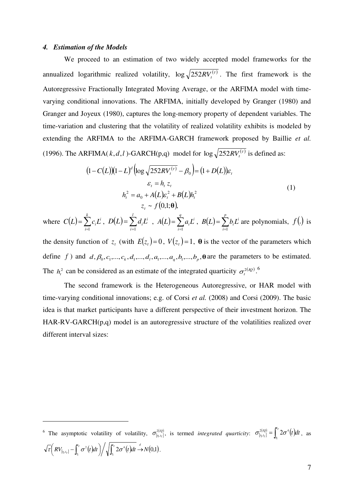#### *4. Estimation of the Models*

-

We proceed to an estimation of two widely accepted model frameworks for the annualized logarithmic realized volatility,  $\log \sqrt{252RV_t^{(r)}}$ . The first framework is the Autoregressive Fractionally Integrated Moving Average, or the ARFIMA model with timevarying conditional innovations. The ARFIMA, initially developed by Granger (1980) and Granger and Joyeux (1980), captures the long-memory property of dependent variables. The time-variation and clustering that the volatility of realized volatility exhibits is modeled by extending the ARFIMA to the ARFIMA-GARCH framework proposed by Baillie *et al.* (1996). The ARFIMA( $k, d, l$ )-GARCH(p,q) model for  $\log \sqrt{252RV_t^{(r)}}$  is defined as:

$$
(1 - C(L))(1 - L)^d \left(\log \sqrt{252RV_t^{(\tau)}} - \beta_0\right) = (1 + D(L))\varepsilon_t
$$
  

$$
\varepsilon_t = h_t z_t
$$
  

$$
h_t^2 = a_0 + A(L)\varepsilon_t^2 + B(L)h_t^2
$$
  

$$
z_t \sim f(0,1;\theta),
$$
  
(1)

where  $C(L) = \sum_{i=1}^{k}$  $=$ *k i*  $C(L) = \sum c_i L^i$  $\sum_{i=1}^{l} c_i L^i$ ,  $D(L) = \sum_{i=1}^{l}$ *i*  $D(L) = \sum d_i L^i$  $\sum_{i=1}^{n} d_i L^i$ ,  $A(L) = \sum_{i=1}^{n}$  $=$ *q i*  $A(L) = \sum a_i L^i$  $\sum_{i=1}^n a_i L^i$ ,  $B(L) = \sum_{i=1}^n$ *p i*  $B(L) = \sum b_i L^i$ 1 are polynomials,  $f(.)$  is

the density function of  $z_t$  (with  $E(z_t) = 0$ ,  $V(z_t) = 1$ ,  $\theta$  is the vector of the parameters which define *f*) and  $d, \beta_0, c_1, \ldots, c_k, d_1, \ldots, d_l, a_1, \ldots, a_q, b_1, \ldots, b_p, \mathbf{\theta}$  are the parameters to be estimated. The  $h_t^2$  can be considered as an estimate of the integrated quarticity  $\sigma_t^{2(p)}$ .

The second framework is the Heterogeneous Autoregressive, or HAR model with time-varying conditional innovations; e.g. of Corsi *et al.* (2008) and Corsi (2009). The basic idea is that market participants have a different perspective of their investment horizon. The HAR-RV-GARCH(p,q) model is an autoregressive structure of the volatilities realized over different interval sizes:

<sup>&</sup>lt;sup>6</sup> The asymptotic volatility of volatility,  $\sigma_{[t_1,t_r]}^{2(l_1)}$ , is termed *integrated quarticity*:  $\sigma_{[t_1,t_r]}^{2(l_2)} = \int_{t_1}^{t_r} 2\sigma^4(t)dt$  $\sigma_{\left[i_1,i_{\tau}\right]} = 1$  20 *t t*  $I_{t_1,t_{\tau}}^{2(IQ)} = \int_{t_1}^{t} 2\sigma^4(t)dt$  $C_{[t_1,t_{\tau}]}^{2(IQ)} = \int_{t_1}^{t_2} 2\sigma^4(t)dt$ , as  $I_{[t_1,t_\tau]} - \int_{t_1}^{t_\tau} \sigma^2(t) dt \,\bigg) \bigg/ \sqrt{\int_{t_1}^{t_\tau} 2\sigma^4(t) dt} \to N(0,1)$ . 4 1  $RV_{[t_1,t_r]} - \int_{t_1}^{t_r} \sigma^2(t) dt \bigg) / \sqrt{\int_{t_1}^{t_r} 2\sigma^4(t) dt} \stackrel{d}{\rightarrow} N$ *t t*  $\left(RV_{[t_1,t_r]} - \int_{t_1}^{t_r} \sigma^2(t)dt\right) / \sqrt{\int_{t_1}^{t_r} 2\sigma^4(t)dt} \stackrel{d}{\rightarrow}$  $\tau$   $RV_{[t_1,t_{\tau}]} - \left[\sigma^2(t)dt\right] / \sqrt{12\sigma^4(t)}dt \rightarrow N(0,1).$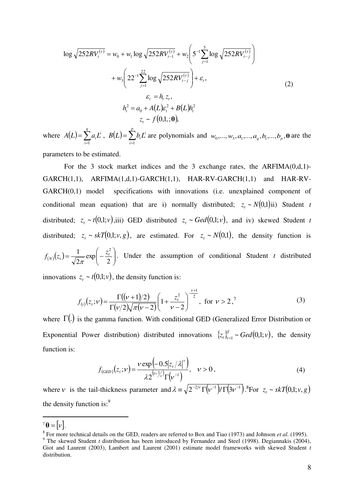$$
\log \sqrt{252RV_t^{(\tau)}} = w_0 + w_1 \log \sqrt{252RV_{t-1}^{(\tau)}} + w_2 \left(5^{-1} \sum_{j=1}^5 \log \sqrt{252RV_{t-j}^{(\tau)}}\right) + w_3 \left(22^{-1} \sum_{j=1}^{22} \log \sqrt{252RV_{t-j}^{(\tau)}}\right) + \varepsilon_t,
$$
  
\n
$$
\varepsilon_t = h_t z_t,
$$
  
\n
$$
h_t^2 = a_0 + A(L)\varepsilon_t^2 + B(L)h_t^2
$$
  
\n
$$
z_t \sim f(0,1,;\theta),
$$
  
\n(2)

where  $A(L) = \sum_{i=1}^{4}$  $=$ *q i*  $A(L) = \sum a_i L^i$  $\sum_{i=1}^{n} a_i L^i$ ,  $B(L) = \sum_{i=1}^{n}$ *p i*  $B(L) = \sum b_i L^i$  $\int_{a}^{b} b_i L^i$  are polynomials and  $w_0, \ldots, w_3, a_1, \ldots, a_q, b_1, \ldots, b_p, \mathbf{\theta}$  are the

parameters to be estimated.

 For the 3 stock market indices and the 3 exchange rates, the ARFIMA(0,d,1)- GARCH(1,1), ARFIMA(1,d,1)-GARCH(1,1), HAR-RV-GARCH(1,1) and HAR-RV-GARCH(0,1) model specifications with innovations (i.e. unexplained component of conditional mean equation) that are i) normally distributed;  $z_t \sim N(0,1)$  ii) Student *t* distributed;  $z_t \sim t(0,1;v)$ ,iii) GED distributed  $z_t \sim \text{Geed}(0,1;v)$ , and iv) skewed Student *t* distributed;  $z_t \sim skT(0,1; v, g)$ , are estimated. For  $z_t \sim N(0,1)$ , the density function is  $f_{(N)}(z_t) = \frac{1}{\sqrt{2\pi}} \exp \left(-\frac{z_t^2}{2}\right)$ J  $\setminus$  $\overline{\phantom{a}}$  $\setminus$  $=\frac{1}{\sqrt{2}}\exp\left(-\frac{1}{2}\right)$ 2 exp 2  $\exp\left(z_t\right) = \frac{1}{\sqrt{2-1}} \exp\left(-\frac{z_t^2}{2}\right)$  $f_{(N)}(z_t) = \frac{1}{\sqrt{2\pi}} \exp\left(-\frac{z_t^2}{2}\right)$ . Under the assumption of conditional Student *t* distributed

innovations  $z_t \sim t(0,1; v)$ , the density function is:

$$
f_{(t)}(z_t; v) = \frac{\Gamma((v+1)/2)}{\Gamma(v/2)\sqrt{\pi(v-2)}} \left(1 + \frac{z_t^2}{v-2}\right)^{\frac{v+1}{2}}, \text{ for } v > 2, \tag{3}
$$

where  $\Gamma(.)$  is the gamma function. With conditional GED (Generalized Error Distribution or Exponential Power distribution) distributed innovations  $\{z_i\}_{i=1}^T \sim \text{Geod}(0,1;v)$ ,  $t_t^{\mu}$ <sub> $t_{t-1}^{\mu} \sim \text{Ged}(0,1;v)$ , the density</sub> function is:

$$
f_{(GED)}(z_t; \nu) = \frac{\nu \exp\left(-0.5|z_t/\lambda|^{\nu}\right)}{\lambda 2^{(1+\frac{1}{\nu})}\Gamma(\nu^{-1})}, \quad \nu > 0,
$$
\n(4)

where *v* is the tail-thickness parameter and  $\lambda = \sqrt{2^{-2/\nu} \Gamma(\nu^{-1})/\Gamma(3\nu^{-1})}$ .<sup>8</sup>For  $z_t \sim skT(0,1; v, g)$ the density function is:<sup>9</sup>

 $^7\theta = |v|$ .

<sup>8</sup> For more technical details on the GED, readers are referred to Box and Tiao (1973) and Johnson *et al.* (1995).

<sup>&</sup>lt;sup>9</sup> The skewed Student *t* distribution has been introduced by Fernandez and Steel (1998). Degiannakis (2004), Giot and Laurent (2003), Lambert and Laurent (2001) estimate model frameworks with skewed Student *t* distribution.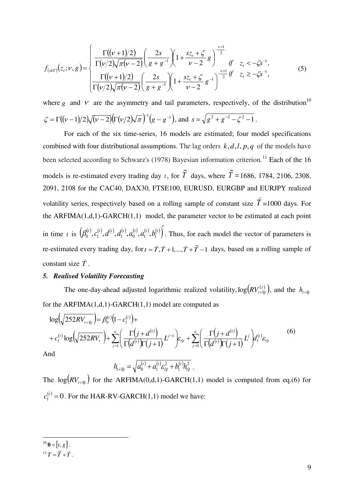$$
f_{(s k T)}(z_t; v, g) = \begin{cases} \frac{\Gamma((v+1)/2)}{\Gamma(v/2)\sqrt{\pi(v-2)}} \left(\frac{2s}{g+g^{-1}}\right) \left(1 + \frac{s z_t + \zeta}{v-2} g\right)^{-\frac{v+1}{2}} & \text{if } z_t < -\zeta s^{-1},\\ \frac{\Gamma((v+1)/2)}{\Gamma(v/2)\sqrt{\pi(v-2)}} \left(\frac{2s}{g+g^{-1}}\right) \left(1 + \frac{s z_t + \zeta}{v-2} g^{-1}\right)^{-\frac{v+1}{2}} & \text{if } z_t \ge -\zeta s^{-1}, \end{cases}
$$
(5)

where *g* and  $V$  are the asymmetry and tail parameters, respectively, of the distribution<sup>10</sup>  $\zeta = \Gamma((\nu-1)/2)\sqrt{(\nu-2)}\left(\Gamma(\nu/2)\sqrt{\pi}\right)^{-1}\left(g-g^{-1}\right)$ , and  $s = \sqrt{g^2 + g^{-2} - \zeta^2 - 1}$ .

For each of the six time-series, 16 models are estimated; four model specifications combined with four distributional assumptions. The lag orders  $k$ ,  $d$ ,  $l$ ,  $p$ ,  $q$  of the models have been selected according to Schwarz's (1978) Bayesian information criterion.<sup>11</sup> Each of the 16 models is re-estimated every trading day *t* , for *T*  $\tilde{T}$  days, where  $\tilde{T} =$ 1686, 1784, 2106, 2308, 2091, 2108 for the CAC40, DAX30, FTSE100, EURUSD, EURGBP and EURJPY realized volatility series, respectively based on a rolling sample of constant size *T*  $\overline{\phantom{a}}$ =1000 days. For the ARFIMA(1,d,1)-GARCH(1,1) model, the parameter vector to be estimated at each point in time t is  $(\beta_0^{(t)}, c_1^{(t)}, d_1^{(t)}, d_1^{(t)}, a_0^{(t)}, d_1^{(t)}, b_1^{(t)})'$ . Thus, for each model the vector of parameters is re-estimated every trading day, for  $t = \tilde{T}, \tilde{T} + 1, \ldots, \tilde{T} + \tilde{T} - 1$  $\frac{1}{2}$   $\frac{1}{2}$   $\frac{1}{2}$   $\frac{1}{2}$  days, based on a rolling sample of constant size *T*  $\overline{a}$ .

#### *5. Realised Volatility Forecasting*

The one-day-ahead adjusted logarithmic realized volatility,  $\log (RV_{t+1|t}^{(\tau)})$ , and the  $h_{t+1|t}$ for the ARFIMA $(1,d,1)$ -GARCH $(1,1)$  model are computed as

$$
\log \left( \sqrt{252RV_{t+1|t}} \right) = \beta_0^{(t)} \left( 1 - c_1^{(t)} \right) +
$$
  
+  $c_1^{(t)} \log \left( \sqrt{252RV_t} \right) + \sum_{j=1}^{\infty} \left( \frac{\Gamma(j+d^{(t)})}{\Gamma(d^{(t)})\Gamma(j+1)} L^{j-1} \right) \varepsilon_{t|t} + \sum_{j=0}^{\infty} \left( \frac{\Gamma(j+d^{(t)})}{\Gamma(d^{(t)})\Gamma(j+1)} L^j \right) d_1^{(t)} \varepsilon_{t|t}$  (6)

 $A$ 

$$
h_{t+1|t} = \sqrt{a_0^{(t)} + a_1^{(t)} \varepsilon_{t|t}^2 + b_1^{(t)} h_{t|t}^2}.
$$

The  $log(RV_{t+1|t})$  for the ARFIMA(0,d,1)-GARCH(1,1) model is computed from eq.(6) for  $c_1^{(t)} = 0$ . For the HAR-RV-GARCH(1,1) model we have:

 $^{10}$   $\theta$  = [v, g].

<sup>&</sup>lt;sup>11</sup> $T = \tilde{T} + \tilde{T}$  $=\tilde{\tilde{T}}+\breve{\tilde{T}}$ .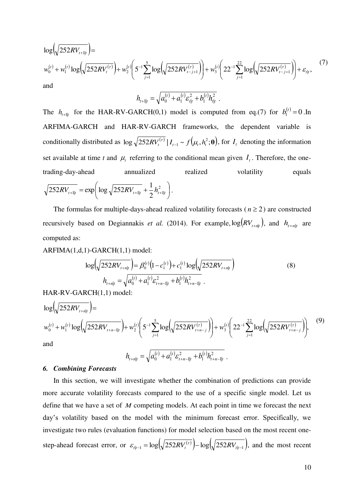$$
\log \left( \sqrt{252RV_{t+1|t}} \right) =
$$
\n
$$
w_0^{(t)} + w_1^{(t)} \log \left( \sqrt{252RV_t^{(\tau)}} \right) + w_2^{(t)} \left( 5^{-1} \sum_{j=1}^5 \log \left( \sqrt{252RV_{t-j+1}^{(\tau)}} \right) \right) + w_3^{(t)} \left( 22^{-1} \sum_{j=1}^{22} \log \left( \sqrt{252RV_{t-j+1}^{(\tau)}} \right) \right) + \varepsilon_{t|t},
$$
\n(7)

$$
h_{t+1|t} = \sqrt{a_0^{(t)} + a_1^{(t)} \varepsilon_{t|t}^2 + b_1^{(t)} h_{t|t}^2}.
$$

The  $h_{t+1|t}$  for the HAR-RV-GARCH(0,1) model is computed from eq.(7) for  $b_1^{(t)} = 0$ . In ARFIMA-GARCH and HAR-RV-GARCH frameworks, the dependent variable is conditionally distributed as  $\log \sqrt{252RV_i^{(r)}} | I_{t-1} \sim f(\mu_t, h_t^2; \mathbf{\theta}),$  $RV_t^{(\tau)} \mid I_{t-1} \sim f(\mu_t, h_t^2; \theta)$ , for  $I_t$  denoting the information set available at time *t* and  $\mu_t$  referring to the conditional mean given  $I_t$ . Therefore, the onetrading-day-ahead annualized realized volatility equals  $\overline{\phantom{a}}$  $\big)$  $\left(\log \sqrt{252RV_{t+1|t}} + \frac{1}{2}h_{t+1|t}^2\right)$ L  $\frac{1}{2}$  = exp  $\left(\log \sqrt{252RV_{t+1|t}} + \frac{1}{2}h_{t+1|t}^2\right)$  $_{1|t}$  -  $\exp\left[\log \sqrt{252R}v_{t+1|t} + 2^{n_{t+1}|t} \right]$  $\overline{252RV_{t+1|t}} = \exp\left(\log \sqrt{252RV_{t+1|t}} + \frac{1}{2}h_{t+1|t}^{2}\right).$ 

The formulas for multiple-days-ahead realized volatility forecasts ( $n \ge 2$ ) are constructed recursively based on Degiannakis *et al.* (2014). For example,  $log(RV_{t+n|t})$ , and  $h_{t+n|t}$  are computed as:

ARFIMA(1,d,1)-GARCH(1,1) model:

$$
\log \left( \sqrt{252RV_{t+n|t}} \right) = \beta_0^{(t)} \left( 1 - c_1^{(t)} \right) + c_1^{(t)} \log \left( \sqrt{252RV_{t+n|t}} \right)
$$
  
\n
$$
h_{t+n|t} = \sqrt{a_0^{(t)} + a_1^{(t)} \varepsilon_{t+n-1|t}^2 + b_1^{(t)} h_{t+n-1|t}^2}.
$$
\n(8)

HAR-RV-GARCH(1,1) model:

$$
\log \left( \sqrt{252RV_{t+n|t}} \right) =
$$
\n
$$
w_0^{(t)} + w_1^{(t)} \log \left( \sqrt{252RV_{t+n-1|t}} \right) + w_2^{(t)} \left( 5^{-1} \sum_{j=1}^5 \log \left( \sqrt{252RV_{t+n-j}^{(t)}} \right) \right) + w_3^{(t)} \left( 22^{-1} \sum_{j=1}^{22} \log \left( \sqrt{252RV_{t+n-j}^{(t)}} \right) \right),
$$
\n(9)\nand\n
$$
h = \sqrt{g(t) + g(t) \sigma^2 + h^{(t)} \sigma^2}
$$

$$
h_{t+n|t} = \sqrt{a_0^{(t)} + a_1^{(t)} \varepsilon_{t+n-1|t}^2 + b_1^{(t)} h_{t+n-1|t}^2}.
$$

# *6. Combining Forecasts*

In this section, we will investigate whether the combination of predictions can provide more accurate volatility forecasts compared to the use of a specific single model. Let us define that we have a set of *M* competing models. At each point in time we forecast the next day's volatility based on the model with the minimum forecast error. Specifically, we investigate two rules (evaluation functions) for model selection based on the most recent onestep-ahead forecast error, or  $\varepsilon_{t|t-1} = \log(\sqrt{252RV_t^{(t)}}) - \log(\sqrt{252RV_{t|t-1}})$ , and the most recent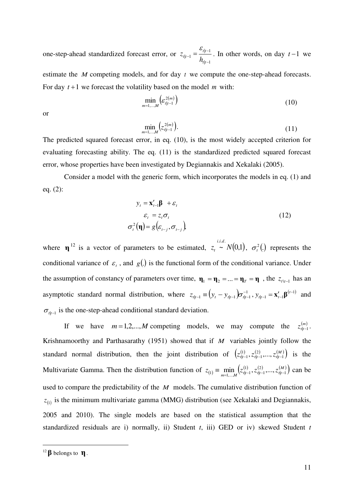one-step-ahead standardized forecast error, or  $|t-1|$  $|t-1|$  $|t-1|$ i,  $\frac{c_{t|t-1}}{1} = \frac{c_{t|t-1}}{1}$ *tt tt*  $h^{t|t-1}$   $\bar{h}$  $z_{t|t-1} = \frac{\varepsilon_{t|t-1}}{t}$ . In other words, on day  $t-1$  we

estimate the *M* competing models, and for day *t* we compute the one-step-ahead forecasts. For day  $t+1$  we forecast the volatility based on the model *m* with:

$$
\min_{m=1,\ldots,M} \left( \varepsilon_{t|t-1}^{2(m)} \right) \tag{10}
$$

or

$$
\min_{m=1,...,M} (z_{t|t-1}^{2(m)}). \tag{11}
$$

The predicted squared forecast error, in eq. (10), is the most widely accepted criterion for evaluating forecasting ability. The eq. (11) is the standardized predicted squared forecast error, whose properties have been investigated by Degiannakis and Xekalaki (2005).

Consider a model with the generic form, which incorporates the models in eq. (1) and eq. (2):

$$
y_{t} = \mathbf{x}'_{t-1} \mathbf{\beta} + \varepsilon_{t}
$$
  
\n
$$
\varepsilon_{t} = z_{t} \sigma_{t}
$$
  
\n
$$
\sigma_{t}^{2}(\mathbf{\eta}) = g(\varepsilon_{t-j}, \sigma_{t-j})
$$
\n(12)

where **η**<sup>12</sup> is a vector of parameters to be estimated,  $z_t \sim N(0,1)$ ,  $t \sim N(0,1)$ ,  $\sigma_t^2$ (.) represents the conditional variance of  $\varepsilon$ , and  $g(.)$  is the functional form of the conditional variance. Under the assumption of constancy of parameters over time,  $\mathbf{\eta}_1 = \mathbf{\eta}_2 = ... = \mathbf{\eta}_T = \mathbf{\eta}$ , the  $z_{t\lambda t-1}$  has an asymptotic standard normal distribution, where  $z_{t|t-1} \equiv (y_t - y_{t|t-1}) \sigma_{t|t-1}^{-1}$  $z_{t|t-1} \equiv (y_t - y_{t|t-1}) \sigma_{t|t-1}^{-1}, y_{t|t-1} = \mathbf{x}'_{t-1} \mathbf{\beta}^{(t-1)}$  $|_{t-1} - \mathbf{A}_{t-1}|$  $t_{-1} = \mathbf{x}'_{t-1} \boldsymbol{\beta}^{(t-1)}$  $y_{t|t-1} = \mathbf{x}'_{t-1} \mathbf{\beta}^{(t-1)}$  and  $\sigma_{\psi^{-1}}$  is the one-step-ahead conditional standard deviation.

If we have  $m = 1, 2, \dots, M$  competing models, we may compute the  $z_{t}^{(m)}$ . Krishnamoorthy and Parthasarathy (1951) showed that if *M* variables jointly follow the standard normal distribution, then the joint distribution of  $(z_{t|t-1}^{(1)}, z_{t|t-1}^{(2)}, \ldots, z_{t|t-1}^{(M)})$  $|t-1|$ 1  $(z_{t+1}^{(1)}, z_{t+1}^{(2)},..., z_{t+t-1}^{(M)})$  is the Multivariate Gamma. Then the distribution function of  $z_{(1)} = \min_{m=1,...,M} (z_{t|t-1}^{(1)}, z_{t|t-1}^{(2)}, ..., z_{t|t-1}^{(M)})$  $|t-1|$ 1  $z_{(1)} \equiv \min_{m=1,...,M} \left( z_{t|t-1}^{(1)}, z_{t|t-1}^{(2)}, \dots, z_{t|t-1}^{(M)} \right)$  can be used to compare the predictability of the *M* models. The cumulative distribution function of  $z_{(1)}$  is the minimum multivariate gamma (MMG) distribution (see Xekalaki and Degiannakis, 2005 and 2010). The single models are based on the statistical assumption that the standardized residuals are i) normally, ii) Student *t*, iii) GED or iv) skewed Student *t* 

<sup>12</sup> **β** belongs to **η**.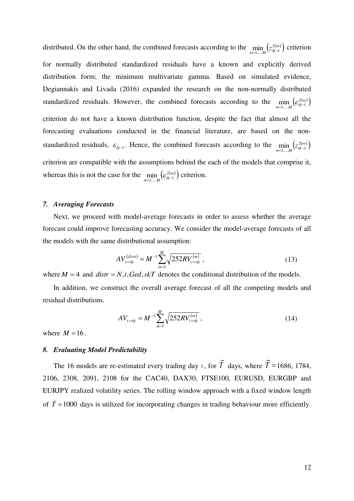distributed. On the other hand, the combined forecasts according to the  $\min_{m=1,...,M} (z_{t|t-1}^{2(m)})$  criterion for normally distributed standardized residuals have a known and explicitly derived distribution form; the minimum multivariate gamma. Based on simulated evidence, Degiannakis and Livada (2016) expanded the research on the non-normally distributed standardized residuals. However, the combined forecasts according to the  $\min_{m=1,...,M} \left( \varepsilon_{t|t-1}^{2(m)} \right)$  $\min_{l=1,...,M}\bigl(\varepsilon_{\it {l|t-1}}^{2(m}$ criterion do not have a known distribution function, despite the fact that almost all the forecasting evaluations conducted in the financial literature, are based on the nonstandardized residuals,  $\varepsilon_{t|t-1}$ . Hence, the combined forecasts according to the  $\min_{m=1,...,M} (z_{t|t-1}^{2(m)})$ criterion are compatible with the assumptions behind the each of the models that comprise it, whereas this is not the case for the  $\min_{m=1,\dots,M} \left( \varepsilon_{t|t-1}^{2(m)} \right)$  $\min_{l=1,\dots,M} \left(\varepsilon_{l|l-1}^{2(m)}\right)$  criterion.

## *7. Averaging Forecasts*

Next, we proceed with model-average forecasts in order to assess whether the average forecast could improve forecasting accuracy. We consider the model-average forecasts of all the models with the same distributional assumption:

$$
AV_{t+n|t}^{(distr)} = M^{-1} \sum_{m=1}^{M} \sqrt{252RV_{t+n|t}^{(m)}},
$$
\n(13)

where  $M = 4$  and  $distr = N$ , *t*, *Ged*, *skT* denotes the conditional distribution of the models.

In addition, we construct the overall average forecast of all the competing models and residual distributions.

$$
AV_{t+n|t} = M^{-1} \sum_{m=1}^{M} \sqrt{252RV_{t+n|t}^{(m)}},
$$
\n(14)

where  $M = 16$ .

#### *8. Evaluating Model Predictability*

The 16 models are re-estimated every trading day *t* , for *T*  $\tilde{T}$  days, where  $\tilde{T} =$ 1686, 1784, 2106, 2308, 2091, 2108 for the CAC40, DAX30, FTSE100, EURUSD, EURGBP and EURJPY realized volatility series. The rolling window approach with a fixed window length of  $\bar{T} = 1000$  $\overline{a}$ days is utilized for incorporating changes in trading behaviour more efficiently.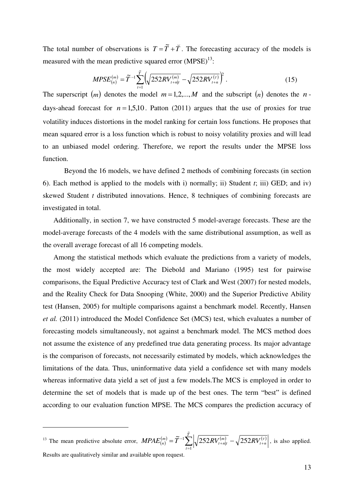The total number of observations is  $T = T + T$  $\overline{a}$  $= \tilde{T} + \tilde{T}$ . The forecasting accuracy of the models is measured with the mean predictive squared error  $(MPSE)^{13}$ :

$$
MPSE_{(n)}^{(m)} = \widetilde{T}^{-1} \sum_{t=1}^{\widetilde{T}} \left( \sqrt{252RV_{t+n|t}^{(m)}} - \sqrt{252RV_{t+n}^{(\tau)}} \right)^2.
$$
 (15)

The superscript  $(m)$  denotes the model  $m = 1, 2, ..., M$  and the subscript  $(n)$  denotes the *n*days-ahead forecast for  $n = 1,5,10$ . Patton (2011) argues that the use of proxies for true volatility induces distortions in the model ranking for certain loss functions. He proposes that mean squared error is a loss function which is robust to noisy volatility proxies and will lead to an unbiased model ordering. Therefore, we report the results under the MPSE loss function.

Beyond the 16 models, we have defined 2 methods of combining forecasts (in section 6). Each method is applied to the models with i) normally; ii) Student *t*; iii) GED; and iv) skewed Student *t* distributed innovations. Hence, 8 techniques of combining forecasts are investigated in total.

Additionally, in section 7, we have constructed 5 model-average forecasts. These are the model-average forecasts of the 4 models with the same distributional assumption, as well as the overall average forecast of all 16 competing models.

Among the statistical methods which evaluate the predictions from a variety of models, the most widely accepted are: The Diebold and Mariano (1995) test for pairwise comparisons, the Equal Predictive Accuracy test of Clark and West (2007) for nested models, and the Reality Check for Data Snooping (White, 2000) and the Superior Predictive Ability test (Hansen, 2005) for multiple comparisons against a benchmark model. Recently, Hansen *et al.* (2011) introduced the Model Confidence Set (MCS) test, which evaluates a number of forecasting models simultaneously, not against a benchmark model. The MCS method does not assume the existence of any predefined true data generating process. Its major advantage is the comparison of forecasts, not necessarily estimated by models, which acknowledges the limitations of the data. Thus, uninformative data yield a confidence set with many models whereas informative data yield a set of just a few models.The MCS is employed in order to determine the set of models that is made up of the best ones. The term "best" is defined according to our evaluation function MPSE. The MCS compares the prediction accuracy of

<sup>&</sup>lt;sup>13</sup> The mean predictive absolute error,  $MPAE_{(n)}^{(m)} = \tilde{T}^{-1} \sum_{t=1}^{n} \sqrt{252RV_{t+n|t}^{(m)}} - \sqrt{252RV_{t+n}^{(\tau)}}$  $_{+n|t}$   $-\sqrt{232N}v_{t+}$  $=\widetilde{T}^{-1}\sum_{i=1}^{T}\sqrt{252RV_{t+nlt}^{(m)}}$ *t nt m*  $MPAE_{(n)}^{(m)} = \widetilde{T}^{-1}\sum\left|\sqrt{252RV_{t+n|t}^{(m)}} - \sqrt{252RV_{t+n|t}^{(m)}}\right|$ <sub>።</sub> 1 |  $\widetilde{T}^{-1} \sum_{l}^{T} \sqrt{252RV_{t+nlt}^{(m)}} - \sqrt{252RV_{t+n}^{(\tau)}}$ , is also applied. Results are qualitatively similar and available upon request.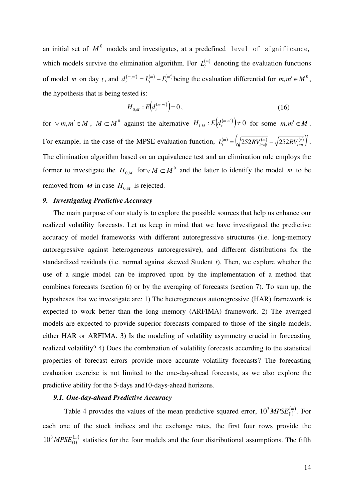an initial set of  $M^0$  models and investigates, at a predefined level of significance, which models survive the elimination algorithm. For  $L_t^{(m)}$  denoting the evaluation functions of model *m* on day *t*, and  $d_t^{(m,m')} = L_t^{(m)} - L_t^{(m')}$ *m t*  $d_t^{(m,m')} = L_t^{(m)} - L_t^{(m')}$  being the evaluation differential for  $m, m' \in M^\circ$ , the hypothesis that is being tested is:

$$
H_{0,M}:E\big(d_t^{(m,m')}\big)=0\,,\tag{16}
$$

for  $\vee$  *m*,*m'*  $\in$  *M* , *M*  $\subset$  *M*<sup>0</sup> against the alternative  $H_{1,M}$ :  $E(d_t^{(m,m)}) \neq 0$  for some  $m, m' \in M$ . For example, in the case of the MPSE evaluation function,  $L_t^{(m)} = \left(\sqrt{\frac{252RV_{t+nl}^{(m)}}{252RV_{t+nl}^{(n)}}} - \sqrt{\frac{252RV_{t+nl}^{(n)}}{252RV_{t+nl}^{(n)}}}\right)^2$ . The elimination algorithm based on an equivalence test and an elimination rule employs the former to investigate the  $H_{0,M}$  for  $\vee M \subset M^0$  and the latter to identify the model *m* to be removed from *M* in case  $H_{0,M}$  is rejected.

#### *9. Investigating Predictive Accuracy*

The main purpose of our study is to explore the possible sources that help us enhance our realized volatility forecasts. Let us keep in mind that we have investigated the predictive accuracy of model frameworks with different autoregressive structures (i.e. long-memory autoregressive against heterogeneous autoregressive), and different distributions for the standardized residuals (i.e. normal against skewed Student *t*). Then, we explore whether the use of a single model can be improved upon by the implementation of a method that combines forecasts (section 6) or by the averaging of forecasts (section 7). To sum up, the hypotheses that we investigate are: 1) The heterogeneous autoregressive (HAR) framework is expected to work better than the long memory (ARFIMA) framework. 2) The averaged models are expected to provide superior forecasts compared to those of the single models; either HAR or ARFIMA. 3) Is the modeling of volatility asymmetry crucial in forecasting realized volatility? 4) Does the combination of volatility forecasts according to the statistical properties of forecast errors provide more accurate volatility forecasts? The forecasting evaluation exercise is not limited to the one-day-ahead forecasts, as we also explore the predictive ability for the 5-days and10-days-ahead horizons.

# *9.1. One-day-ahead Predictive Accuracy*

Table 4 provides the values of the mean predictive squared error,  $10^3 M PSE_{(1)}^{(m)}$ . For each one of the stock indices and the exchange rates, the first four rows provide the  $10^3 M PSE_{(1)}^{(m)}$  statistics for the four models and the four distributional assumptions. The fifth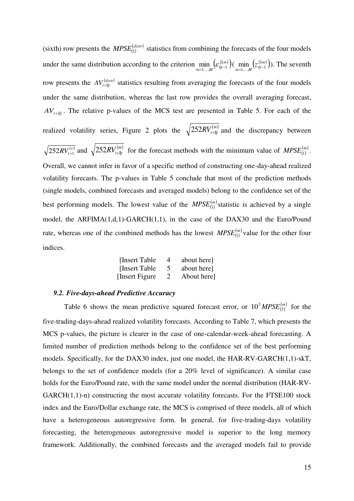(sixth) row presents the  $MPSE_{(1)}^{(distr)}$  statistics from combining the forecasts of the four models under the same distribution according to the criterion  $\min_{m=1,...,M} \left( \varepsilon_{t|t-1}^{2(m)} \right)$ 2  $\min_{i=1,...,M} \left( \varepsilon_{t|t-1}^{2(m)} \right) \left( \min_{m=1,...,M} \left( z_{t|t-1}^{2(m)} \right) \right)$  $\min_{l=1,...,M} (z_{t|t-1}^{2(m)}))$ . The seventh row presents the  $AV_{t+1|t}^{(dist)}$  statistics resulting from averaging the forecasts of the four models under the same distribution, whereas the last row provides the overall averaging forecast,  $AV_{t+1|t}$ . The relative p-values of the MCS test are presented in Table 5. For each of the realized volatility series, Figure 2 plots the  $\sqrt{252RV_{t+1|t}^{(m)}}$  and the discrepancy between  $\overline{252RV_{t+1}^{(r)}}$  and  $\sqrt{252RV_{t+1}^{(m)}}$  for the forecast methods with the minimum value of  $MPSE_{(1)}^{(m)}$ . Overall, we cannot infer in favor of a specific method of constructing one-day-ahead realized volatility forecasts. The p-values in Table 5 conclude that most of the prediction methods (single models, combined forecasts and averaged models) belong to the confidence set of the best performing models. The lowest value of the  $MPSE_{(1)}^{(m)}$  statistic is achieved by a single model, the ARFIMA(1,d,1)-GARCH(1,1), in the case of the DAX30 and the Euro/Pound rate, whereas one of the combined methods has the lowest  $MPSE_{(1)}^{(m)}$  value for the other four indices.

| [Insert Table]  | 4 | about here] |
|-----------------|---|-------------|
| [Insert Table]  | 5 | about here] |
| [Insert Figure] | 2 | About here] |

# *9.2. Five-days-ahead Predictive Accuracy*

Table 6 shows the mean predictive squared forecast error, or  $10^3 M PSE_{(5)}^{(m)}$  for the five-trading-days-ahead realized volatility forecasts. According to Table 7, which presents the MCS p-values, the picture is clearer in the case of one-calendar-week-ahead forecasting. A limited number of prediction methods belong to the confidence set of the best performing models. Specifically, for the DAX30 index, just one model, the HAR-RV-GARCH(1,1)-skT, belongs to the set of confidence models (for a 20% level of significance). A similar case holds for the Euro/Pound rate, with the same model under the normal distribution (HAR-RV- $GARCH(1,1)-n$ ) constructing the most accurate volatility forecasts. For the FTSE100 stock index and the Euro/Dollar exchange rate, the MCS is comprised of three models, all of which have a heterogeneous autoregressive form. In general, for five-trading-days volatility forecasting, the heterogeneous autoregressive model is superior to the long memory framework. Additionally, the combined forecasts and the averaged models fail to provide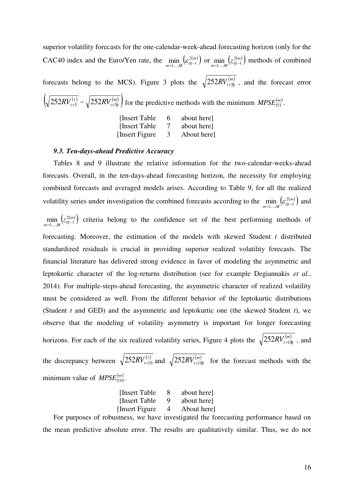superior volatility forecasts for the one-calendar-week-ahead forecasting horizon (only for the CAC40 index and the Euro/Yen rate, the  $\min_{m=1,...,M} \left( \varepsilon_{t|t-1}^{2(m)} \right)$ 2  $\min_{i=1,...,M} \left( \varepsilon_{t|t-1}^{2(m)} \right) \text{ or } \min_{m=1,...,M} \left( z_{t|t-1}^{2(m)} \right)$  $\min_{i=1,\dots,M} (z_{t|t-1}^{2(m)})$  methods of combined forecasts belong to the MCS). Figure 3 plots the  $\sqrt{252RV_{t+5|t}^{(m)}}$ , and the forecast error  $\left(\sqrt{252RV_{t+5}^{(r)}} - \sqrt{252RV_{t+5|t}^{(m)}}\right)$  for the predictive methods with the minimum  $MPSE_{(5)}^{(m)}$ . [Insert Table 6 about here] [Insert Table 7 about here]

[Insert Figure 3 About here]

#### *9.3. Ten-days-ahead Predictive Accuracy*

Tables 8 and 9 illustrate the relative information for the two-calendar-weeks-ahead forecasts. Overall, in the ten-days-ahead forecasting horizon, the necessity for employing combined forecasts and averaged models arises. According to Table 9, for all the realized volatility series under investigation the combined forecasts according to the  $\min_{m=1,...,M} \left( \varepsilon_{t|t-1}^{2(m)} \right)$ 2  $\min_{t=1,...,M} (\varepsilon_{t|t-1}^{2(m)})$  and

 $\min_{m=1,...,M} (z_{t|t-1}^{2(m)})$  $\min_{i=1,...,M} (z_{t|t-1}^{2(m)})$  criteria belong to the confidence set of the best performing methods of forecasting. Moreover, the estimation of the models with skewed Student *t* distributed standardized residuals is crucial in providing superior realized volatility forecasts. The financial literature has delivered strong evidence in favor of modeling the asymmetric and leptokurtic character of the log-returns distribution (see for example Degiannakis *et al.*, 2014). For multiple-steps-ahead forecasting, the asymmetric character of realized volatility must be considered as well. From the different behavior of the leptokurtic distributions (Student *t* and GED) and the asymmetric and leptokurtic one (the skewed Student *t*), we observe that the modeling of volatility asymmetry is important for longer forecasting horizons. For each of the six realized volatility series, Figure 4 plots the  $\sqrt{252RV^{(m)}_{t+10|t}}$ , and

the discrepancy between  $\sqrt{252RV_{t+10}^{(r)}}$  and  $\sqrt{252RV_{t+10|t}^{(m)}}$  for the forecast methods with the minimum value of  $MPSE^{(m)}_{(10)}$ .

| [Insert Table]  | 8 | about here] |
|-----------------|---|-------------|
| [Insert Table]  | 9 | about here] |
| [Insert Figure] | 4 | About here] |

For purposes of robustness, we have investigated the forecasting performance based on the mean predictive absolute error. The results are qualitatively similar. Thus, we do not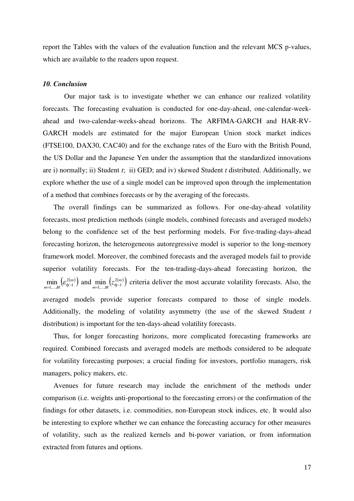report the Tables with the values of the evaluation function and the relevant MCS p-values, which are available to the readers upon request.

#### *10. Conclusion*

 Our major task is to investigate whether we can enhance our realized volatility forecasts. The forecasting evaluation is conducted for one-day-ahead, one-calendar-weekahead and two-calendar-weeks-ahead horizons. The ARFIMA-GARCH and HAR-RV-GARCH models are estimated for the major European Union stock market indices (FTSE100, DAX30, CAC40) and for the exchange rates of the Euro with the British Pound, the US Dollar and the Japanese Yen under the assumption that the standardized innovations are i) normally; ii) Student *t*; ii) GED; and iv) skewed Student *t* distributed. Additionally, we explore whether the use of a single model can be improved upon through the implementation of a method that combines forecasts or by the averaging of the forecasts.

The overall findings can be summarized as follows. For one-day-ahead volatility forecasts, most prediction methods (single models, combined forecasts and averaged models) belong to the confidence set of the best performing models. For five-trading-days-ahead forecasting horizon, the heterogeneous autoregressive model is superior to the long-memory framework model. Moreover, the combined forecasts and the averaged models fail to provide superior volatility forecasts. For the ten-trading-days-ahead forecasting horizon, the  $\min_{m=1,...,M} \left( \varepsilon_{t|t-1}^{2(m)} \right)$  a 2  $\min_{n=1,...,M} \left( \varepsilon_{t|t-1}^{2(m)} \right)$  and  $\min_{m=1,...,M} \left( z_{t|t-1}^{2(m)} \right)$  $\min_{i=1,...,M} (z_{\text{th}-1}^{2(m)})$  criteria deliver the most accurate volatility forecasts. Also, the averaged models provide superior forecasts compared to those of single models. Additionally, the modeling of volatility asymmetry (the use of the skewed Student *t* distribution) is important for the ten-days-ahead volatility forecasts.

Thus, for longer forecasting horizons, more complicated forecasting frameworks are required. Combined forecasts and averaged models are methods considered to be adequate for volatility forecasting purposes; a crucial finding for investors, portfolio managers, risk managers, policy makers, etc.

Avenues for future research may include the enrichment of the methods under comparison (i.e. weights anti-proportional to the forecasting errors) or the confirmation of the findings for other datasets, i.e. commodities, non-European stock indices, etc. It would also be interesting to explore whether we can enhance the forecasting accuracy for other measures of volatility, such as the realized kernels and bi-power variation, or from information extracted from futures and options.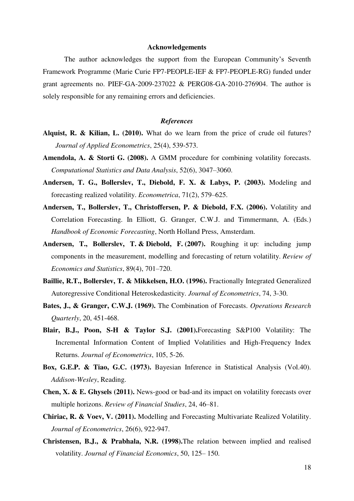#### **Acknowledgements**

The author acknowledges the support from the European Community's Seventh Framework Programme (Marie Curie FP7-PEOPLE-IEF & FP7-PEOPLE-RG) funded under grant agreements no. PIEF-GA-2009-237022 & PERG08-GA-2010-276904. The author is solely responsible for any remaining errors and deficiencies.

#### *References*

- **Alquist, R. & Kilian, L. (2010).** What do we learn from the price of crude oil futures? *Journal of Applied Econometrics*, 25(4), 539-573.
- **Amendola, A. & Storti G. (2008).** A GMM procedure for combining volatility forecasts. *Computational Statistics and Data Analysis*, 52(6), 3047–3060.
- **Andersen, T. G., Bollerslev, T., Diebold, F. X. & Labys, P. (2003).** Modeling and forecasting realized volatility. *Econometrica*, 71(2), 579–625.
- **Andersen, T., Bollerslev, T., Christoffersen, P. & Diebold, F.X. (2006).** Volatility and Correlation Forecasting. In Elliott, G. Granger, C.W.J. and Timmermann, A. (Eds.) *Handbook of Economic Forecasting*, North Holland Press, Amsterdam.
- **Andersen, T., Bollerslev, T. & Diebold, F. (2007).** Roughing it up: including jump components in the measurement, modelling and forecasting of return volatility. *Review of Economics and Statistics*, 89(4), 701–720.
- **Baillie, R.T., Bollerslev, T. & Mikkelsen, H.O. (1996).** Fractionally Integrated Generalized Autoregressive Conditional Heteroskedasticity. *Journal of Econometrics*, 74, 3-30.
- **Bates, J., & Granger, C.W.J. (1969).** The Combination of Forecasts. *Operations Research Quarterly*, 20, 451-468.
- **Blair, B.J., Poon, S-H & Taylor S.J. (2001).**Forecasting S&P100 Volatility: The Incremental Information Content of Implied Volatilities and High-Frequency Index Returns. *Journal of Econometrics*, 105, 5-26.
- **Box, G.E.P. & Tiao, G.C. (1973).** Bayesian Inference in Statistical Analysis (Vol.40). *Addison-Wesley*, Reading.
- **Chen, X. & E. Ghysels (2011).** News-good or bad-and its impact on volatility forecasts over multiple horizons. *Review of Financial Studies*, 24, 46–81.
- **Chiriac, R. & Voev, V. (2011).** Modelling and Forecasting Multivariate Realized Volatility. *Journal of Econometrics*, 26(6), 922-947.
- **Christensen, B.J., & Prabhala, N.R. (1998).**The relation between implied and realised volatility. *Journal of Financial Economics*, 50, 125– 150.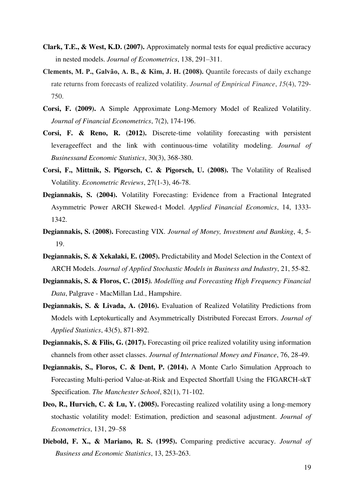- **Clark, T.E., & West, K.D. (2007).** Approximately normal tests for equal predictive accuracy in nested models. *Journal of Econometrics*, 138, 291–311.
- **Clements, M. P., Galvão, A. B., & Kim, J. H. (2008).** Quantile forecasts of daily exchange rate returns from forecasts of realized volatility. *Journal of Empirical Finance*, *15*(4), 729- 750.
- **Corsi, F. (2009).** A Simple Approximate Long-Memory Model of Realized Volatility. *Journal of Financial Econometrics*, 7(2), 174-196.
- **Corsi, F. & Reno, R. (2012).** Discrete-time volatility forecasting with persistent leverageeffect and the link with continuous-time volatility modeling. *Journal of Businessand Economic Statistics*, 30(3), 368-380.
- **Corsi, F., Mittnik, S. Pigorsch, C. & Pigorsch, U. (2008).** The Volatility of Realised Volatility. *Econometric Reviews*, 27(1-3), 46-78.
- **Degiannakis, S. (2004).** Volatility Forecasting: Evidence from a Fractional Integrated Asymmetric Power ARCH Skewed-t Model. *Applied Financial Economics*, 14, 1333- 1342.
- **Degiannakis, S. (2008).** Forecasting VIX. *Journal of Money, Investment and Banking*, 4, 5- 19.
- **Degiannakis, S. & Xekalaki, E. (2005).** Predictability and Model Selection in the Context of ARCH Models. *Journal of Applied Stochastic Models in Business and Industry*, 21, 55-82.
- **Degiannakis, S. & Floros, C. (2015***). Modelling and Forecasting High Frequency Financial Data*, Palgrave - MacMillan Ltd., Hampshire.
- **Degiannakis, S. & Livada, A. (2016).** Evaluation of Realized Volatility Predictions from Models with Leptokurtically and Asymmetrically Distributed Forecast Errors. *Journal of Applied Statistics*, 43(5), 871-892.
- **Degiannakis, S. & Filis, G. (2017).** Forecasting oil price realized volatility using information channels from other asset classes. *Journal of International Money and Finance*, 76, 28-49.
- **Degiannakis, S., Floros, C. & Dent, P. (2014).** A Monte Carlo Simulation Approach to Forecasting Multi-period Value-at-Risk and Expected Shortfall Using the FIGARCH-skT Specification. *The Manchester School*, 82(1), 71-102.
- **Deo, R., Hurvich, C. & Lu, Y. (2005).** Forecasting realized volatility using a long-memory stochastic volatility model: Estimation, prediction and seasonal adjustment. *Journal of Econometrics*, 131, 29–58
- **Diebold, F. X., & Mariano, R. S. (1995).** Comparing predictive accuracy. *Journal of Business and Economic Statistics*, 13, 253-263.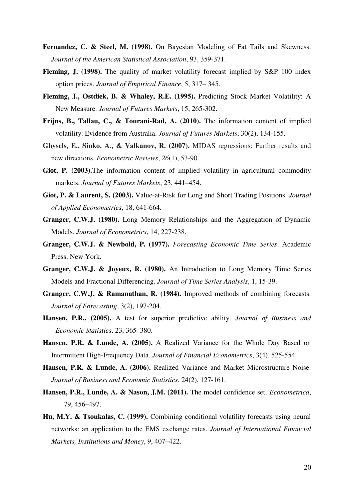- **Fernandez, C. & Steel, M. (1998).** On Bayesian Modeling of Fat Tails and Skewness. *Journal of the American Statistical Association*, 93, 359-371.
- **Fleming, J. (1998).** The quality of market volatility forecast implied by S&P 100 index option prices. *Journal of Empirical Finance*, 5, 317– 345.
- **Fleming, J., Ostdiek, B. & Whaley, R.E. (1995).** Predicting Stock Market Volatility: A New Measure. *Journal of Futures Markets*, 15, 265-302.
- **Frijns, B., Tallau, C., & Tourani-Rad, A. (2010).** The information content of implied volatility: Evidence from Australia. *Journal of Futures Markets*, 30(2), 134-155.
- **Ghysels, E., Sinko, A., & Valkanov, R. (2007).** MIDAS regressions: Further results and new directions. *Econometric Reviews*, *26*(1), 53-90.
- Giot, P. (2003). The information content of implied volatility in agricultural commodity markets. *Journal of Futures Markets*, 23, 441–454.
- **Giot, P. & Laurent, S. (2003).** Value-at-Risk for Long and Short Trading Positions. *Journal of Applied Econometrics*, 18, 641-664.
- **Granger, C.W.J. (1980).** Long Memory Relationships and the Aggregation of Dynamic Models. *Journal of Econometrics*, 14, 227-238.
- **Granger, C.W.J. & Newbold, P. (1977).** *Forecasting Economic Time Series*. Academic Press, New York.
- **Granger, C.W.J. & Joyeux, R. (1980).** An Introduction to Long Memory Time Series Models and Fractional Differencing. *Journal of Time Series Analysis*, 1, 15-39.
- **Granger, C.W.J. & Ramanathan, R. (1984).** Improved methods of combining forecasts. *Journal of Forecasting*, 3(2), 197-204.
- **Hansen, P.R., (2005).** A test for superior predictive ability. *Journal of Business and Economic Statistics*. 23, 365–380.
- **Hansen, P.R. & Lunde, A. (2005).** A Realized Variance for the Whole Day Based on Intermittent High-Frequency Data. *Journal of Financial Econometrics*, 3(4), 525-554.
- **Hansen, P.R. & Lunde, A. (2006).** Realized Variance and Market Microstructure Noise. *Journal of Business and Economic Statistics*, 24(2), 127-161.
- **Hansen, P.R., Lunde, A. & Nason, J.M. (2011).** The model confidence set. *Econometrica*, 79, 456–497.
- **Hu, M.Y. & Tsoukalas, C. (1999).** Combining conditional volatility forecasts using neural networks: an application to the EMS exchange rates. *Journal of International Financial Markets, Institutions and Money*, 9, 407–422.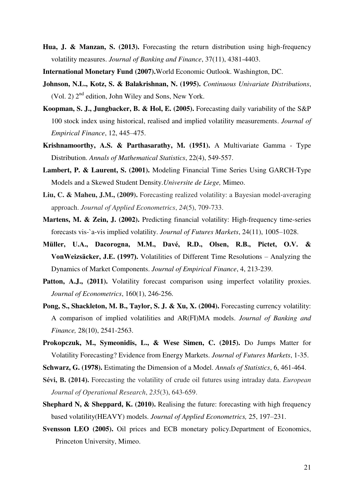- **Hua, J. & Manzan, S. (2013).** Forecasting the return distribution using high-frequency volatility measures. *Journal of Banking and Finance*, 37(11), 4381-4403.
- **International Monetary Fund (2007).**World Economic Outlook. Washington, DC.
- **Johnson, N.L., Kotz, S. & Balakrishnan, N. (1995).** *Continuous Univariate Distributions*, (Vol. 2)  $2<sup>nd</sup>$  edition, John Wiley and Sons, New York.
- **Koopman, S. J., Jungbacker, B. & Hol, E. (2005).** Forecasting daily variability of the S&P 100 stock index using historical, realised and implied volatility measurements. *Journal of Empirical Finance*, 12, 445–475.
- **Krishnamoorthy, A.S. & Parthasarathy, M. (1951).** A Multivariate Gamma Type Distribution. *Annals of Mathematical Statistics*, 22(4), 549-557.
- **Lambert, P. & Laurent, S. (2001).** Modeling Financial Time Series Using GARCH-Type Models and a Skewed Student Density.*Universite de Liege,* Mimeo.
- **Liu, C. & Maheu, J.M., (2009).** Forecasting realized volatility: a Bayesian model‐averaging approach. *Journal of Applied Econometrics*, *24*(5), 709-733.
- Martens, M. & Zein, J. (2002). Predicting financial volatility: High-frequency time-series forecasts vis-`a-vis implied volatility. *Journal of Futures Markets*, 24(11), 1005–1028.
- **Müller, U.A., Dacorogna, M.M., Davé, R.D., Olsen, R.B., Pictet, O.V. & VonWeizsäcker, J.E. (1997).** Volatilities of Different Time Resolutions – Analyzing the Dynamics of Market Components. *Journal of Empirical Finance*, 4, 213-239.
- Patton, A.J., (2011). Volatility forecast comparison using imperfect volatility proxies. *Journal of Econometrics*, 160(1), 246-256.
- **Pong, S., Shackleton, M. B., Taylor, S. J. & Xu, X. (2004).** Forecasting currency volatility: A comparison of implied volatilities and AR(FI)MA models. *Journal of Banking and Finance,* 28(10), 2541-2563.
- **Prokopczuk, M., Symeonidis, L., & Wese Simen, C. (2015).** Do Jumps Matter for Volatility Forecasting? Evidence from Energy Markets. *Journal of Futures Markets*, 1-35.

**Schwarz, G. (1978).** Estimating the Dimension of a Model. *Annals of Statistics*, 6, 461-464.

- **Sévi, B. (2014).** Forecasting the volatility of crude oil futures using intraday data. *European Journal of Operational Research*, *235*(3), 643-659.
- **Shephard N, & Sheppard, K. (2010).** Realising the future: forecasting with high frequency based volatility(HEAVY) models. *Journal of Applied Econometrics,* 25, 197–231.
- **Svensson LEO (2005).** Oil prices and ECB monetary policy.Department of Economics, Princeton University, Mimeo.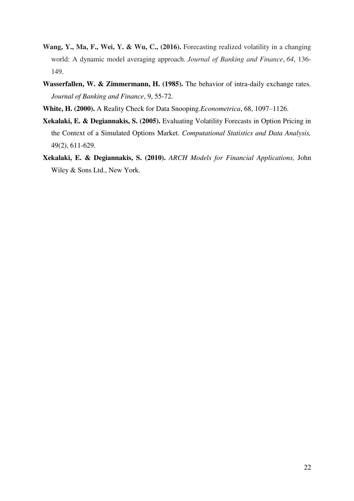- **Wang, Y., Ma, F., Wei, Y. & Wu, C., (2016).** Forecasting realized volatility in a changing world: A dynamic model averaging approach. *Journal of Banking and Finance*, *64*, 136- 149.
- **Wasserfallen, W. & Zimmermann, H. (1985).** The behavior of intra-daily exchange rates. *Journal of Banking and Finance*, 9, 55-72.
- **White, H. (2000).** A Reality Check for Data Snooping.*Econometrica*, 68, 1097–1126.
- **Xekalaki, E. & Degiannakis, S. (2005).** Evaluating Volatility Forecasts in Option Pricing in the Context of a Simulated Options Market. *Computational Statistics and Data Analysis,* 49(2), 611-629.
- **Xekalaki, E. & Degiannakis, S. (2010).** *ARCH Models for Financial Applications,* John Wiley & Sons Ltd., New York.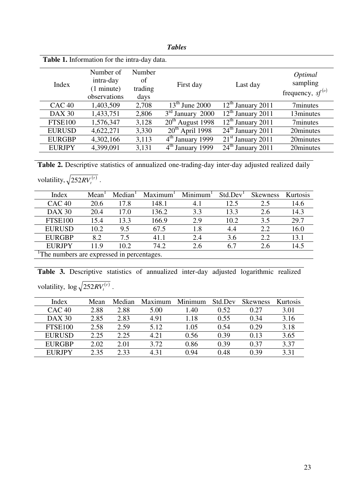|                   | <b>Table 1.</b> Information for the intra-day data.            |                                 |                              |                                   |                                              |  |
|-------------------|----------------------------------------------------------------|---------------------------------|------------------------------|-----------------------------------|----------------------------------------------|--|
| Index             | Number of<br>intra-day<br>$(1 \text{ minute})$<br>observations | Number<br>of<br>trading<br>days | First day                    | Last day                          | Optimal<br>sampling<br>frequency, $sf^{(o)}$ |  |
| CAC <sub>40</sub> | 1,403,509                                                      | 2,708                           | $13th$ June 2000             | $12th$ January 2011               | 7minutes                                     |  |
| <b>DAX 30</b>     | 1,433,751                                                      | 2,806                           | $3rd$ January 2000           | $12th$ January 2011               | 13minutes                                    |  |
| <b>FTSE100</b>    | 1,576,347                                                      | 3,128                           | $20th$ August 1998           | $12th$ January 2011               | 7minutes                                     |  |
| <b>EURUSD</b>     | 4,622,271                                                      | 3,330                           | $20th$ April 1998            | $24th$ January 2011               | 20minutes                                    |  |
| <b>EURGBP</b>     | 4,302,166                                                      | 3,113                           | 4 <sup>th</sup> January 1999 | $\overline{21}^{st}$ January 2011 | 20minutes                                    |  |
| <b>EURJPY</b>     | 4,399,091                                                      | 3,131                           | 4 <sup>th</sup> January 1999 | $24th$ January 2011               | 20minutes                                    |  |

Table 2. Descriptive statistics of annualized one-trading-day inter-day adjusted realized daily volatility,  $\sqrt{252RV_t^{(t)}}$ .

| Index                                     | Mean | Median | Maximum | Minimum <sup>1</sup> | Std.Dev | <b>Skewness</b> | Kurtosis |
|-------------------------------------------|------|--------|---------|----------------------|---------|-----------------|----------|
| CAC <sub>40</sub>                         | 20.6 | 17.8   | 148.1   | 4.1                  | 12.5    | 2.5             | 14.6     |
| <b>DAX 30</b>                             | 20.4 | 17.0   | 136.2   | 3.3                  | 13.3    | 2.6             | 14.3     |
| <b>FTSE100</b>                            | 15.4 | 13.3   | 166.9   | 2.9                  | 10.2    | 3.5             | 29.7     |
| <b>EURUSD</b>                             | 10.2 | 9.5    | 67.5    | 1.8                  | 4.4     | 2.2             | 16.0     |
| <b>EURGBP</b>                             | 8.2  | 7.5    | 41.1    | 2.4                  | 3.6     | 2.2             | 13.1     |
| <b>EURJPY</b>                             | 11.9 | 10.2   | 74.2    | 2.6                  | 6.7     | 2.6             | 14.5     |
| The numbers are expressed in percentages. |      |        |         |                      |         |                 |          |

**Table 3.** Descriptive statistics of annualized inter-day adjusted logarithmic realized volatility,  $\log \sqrt{252RV_t^{(\tau)}}$ .

| Index         | Mean | Median | Maximum | Minimum | Std.Dev | <b>Skewness</b> | Kurtosis |
|---------------|------|--------|---------|---------|---------|-----------------|----------|
| CAC 40        | 2.88 | 2.88   | 5.00    | 1.40    | 0.52    | 0.27            | 3.01     |
| <b>DAX 30</b> | 2.85 | 2.83   | 4.91    | l.18    | 0.55    | 0.34            | 3.16     |
| FTSE100       | 2.58 | 2.59   | 5.12    | 1.05    | 0.54    | 0.29            | 3.18     |
| <b>EURUSD</b> | 2.25 | 2.25   | 4.21    | 0.56    | 0.39    | 0.13            | 3.65     |
| <b>EURGBP</b> | 2.02 | 2.01   | 3.72    | 0.86    | 0.39    | 0.37            | 3.37     |
| <b>EURJPY</b> | 2.35 | 2.33   | 431     | 0.94    | 0.48    | 0.39            | 3.31     |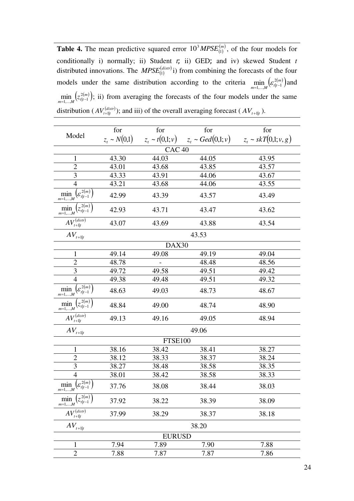**Table 4.** The mean predictive squared error  $10^3 M PSE_{(1)}^{(m)}$ , of the four models for conditionally i) normally; ii) Student *t*; ii) GED; and iv) skewed Student *t*  distributed innovations. The  $MPSE_{(1)}^{(distr)}$  i) from combining the forecasts of the four models under the same distribution according to the criteria  $\min_{m=1,...,M} \left( \varepsilon_{t|t-1}^{2(m)} \right)$  a 2  $\min_{t=1,...,M} (\varepsilon_{t|t-1}^{2(m)})$  and  $\min_{m=1,...,M} (z_{t|t-1}^{2(m)})$ ;  $\min_{i=1,...,M} (z_{t|t-1}^{2(m)})$ ; ii) from averaging the forecasts of the four models under the same distribution ( $AV_{t+1|t}^{(distr)}$ ); and iii) of the overall averaging forecast ( $AV_{t+1|t}$ ).

|                                                                     | for               | for               | for                                                               | for   |
|---------------------------------------------------------------------|-------------------|-------------------|-------------------------------------------------------------------|-------|
| Model                                                               | $z_t \sim N(0,1)$ |                   | $z_t \sim t(0,1;v)$ $z_t \sim Ged(0,1;v)$ $z_t \sim skT(0,1;v,g)$ |       |
|                                                                     |                   | CAC <sub>40</sub> |                                                                   |       |
| $\mathbf{1}$                                                        | 43.30             | 44.03             | 44.05                                                             | 43.95 |
| $\overline{2}$                                                      | 43.01             | 43.68             | 43.85                                                             | 43.57 |
| 3                                                                   | 43.33             | 43.91             | 44.06                                                             | 43.67 |
| $\overline{4}$                                                      | 43.21             | 43.68             | 44.06                                                             | 43.55 |
| $\min_{m=1,,M}\left(\mathcal{E}_{t t-1}^{\ \overline{2(m)}}\right)$ | 42.99             | 43.39             | 43.57                                                             | 43.49 |
| $\min_{m=1,,M}\left(z_{t t-1}^{2(m)}\right)$                        | 42.93             | 43.71             | 43.47                                                             | 43.62 |
| $AV_{t+1 t}^{(distr)}$                                              | 43.07             | 43.69             | 43.88                                                             | 43.54 |
| $AV_{t+1 t}$                                                        |                   |                   | 43.53                                                             |       |
|                                                                     |                   | DAX30             |                                                                   |       |
| $\mathbf{1}$                                                        | 49.14             | 49.08             | 49.19                                                             | 49.04 |
| $\overline{2}$                                                      | 48.78             |                   | 48.48                                                             | 48.56 |
| 3                                                                   | 49.72             | 49.58             | 49.51                                                             | 49.42 |
| $\overline{4}$                                                      | 49.38             | 49.48             | 49.51                                                             | 49.32 |
| $\min_{m=1,,M}\left(\varepsilon_{t t-1}^{2\overline{(m)}}\right)$   | 48.63             | 49.03             | 48.73                                                             | 48.67 |
| $\min_{m=1,,M}\left(z_{t t-1}^{2(m)}\right)$                        | 48.84             | 49.00             | 48.74                                                             | 48.90 |
| $AV_{t+1 t}^{(distr)}$                                              | 49.13             | 49.16             | 49.05                                                             | 48.94 |
| $AV_{t+1 t}$                                                        |                   |                   | 49.06                                                             |       |
|                                                                     |                   | FTSE100           |                                                                   |       |
| 1                                                                   | 38.16             | 38.42             | 38.41                                                             | 38.27 |
| $\overline{c}$                                                      | 38.12             | 38.33             | 38.37                                                             | 38.24 |
| $\overline{3}$                                                      | 38.27             | 38.48             | 38.58                                                             | 38.35 |
| $\overline{4}$                                                      | 38.01             | 38.42             | 38.58                                                             | 38.33 |
| $\min_{m=1,,M}\left(\varepsilon_{t t-1}^{\overline{2(m)}}\right)$   | 37.76             | 38.08             | 38.44                                                             | 38.03 |
| $\left(z_{t t-1}^{2(m)}\right)$<br>$\min_{m=1,,M}$                  | 37.92             | 38.22             | 38.39                                                             | 38.09 |
| $AV_{t+1 t}^{(distr)}$                                              | 37.99             | 38.29             | 38.37                                                             | 38.18 |
| $AV_{\scriptscriptstyle t+1 t}$                                     |                   |                   | 38.20                                                             |       |
|                                                                     |                   | <b>EURUSD</b>     |                                                                   |       |
| 1                                                                   | 7.94              | 7.89              | 7.90                                                              | 7.88  |
| $\overline{2}$                                                      | 7.88              | 7.87              | 7.87                                                              | 7.86  |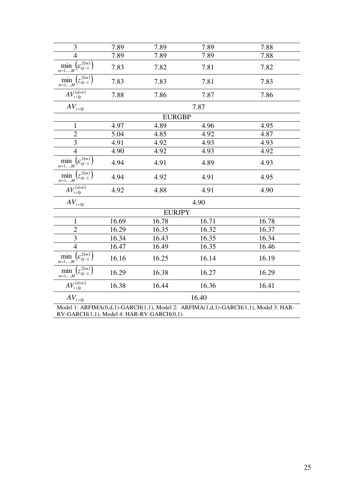| $\mathfrak{Z}$                                                      | 7.89  | 7.89          | 7.89  | 7.88                                                                                |
|---------------------------------------------------------------------|-------|---------------|-------|-------------------------------------------------------------------------------------|
| $\overline{4}$                                                      | 7.89  | 7.89          | 7.89  | 7.88                                                                                |
| $\min_{m=1,,M}\left(\varepsilon_{t t-1}^{\overline{2(m)}}\right)$   | 7.83  | 7.82          | 7.81  | 7.82                                                                                |
| $\min_{m=1,,M} (z_{t t-1}^{2(m)})$                                  | 7.83  | 7.83          | 7.81  | 7.83                                                                                |
| $AV_{t+1 t}^{(distr)}$                                              | 7.88  | 7.86          | 7.87  | 7.86                                                                                |
| $AV_{\scriptscriptstyle t+1 t}$                                     |       |               | 7.87  |                                                                                     |
|                                                                     |       | <b>EURGBP</b> |       |                                                                                     |
| $\mathbf{1}$                                                        | 4.97  | 4.89          | 4.96  | 4.95                                                                                |
| $\overline{2}$                                                      | 5.04  | 4.85          | 4.92  | 4.87                                                                                |
| $\overline{3}$                                                      | 4.91  | 4.92          | 4.93  | 4.93                                                                                |
| $\overline{4}$                                                      | 4.90  | 4.92          | 4.93  | 4.92                                                                                |
| $\min_{m=1,,M}\left(\varepsilon_{t t-1}^{2(m)}\right)$              | 4.94  | 4.91          | 4.89  | 4.93                                                                                |
| $(z_{t t-1}^{2(m)})$<br>min<br>$m=1,\ldots,M$                       | 4.94  | 4.92          | 4.91  | 4.95                                                                                |
| $AV_{t+1 t}^{(distr)}$                                              | 4.92  | 4.88          | 4.91  | 4.90                                                                                |
| $AV_{\scriptscriptstyle t+1 t}$                                     |       |               | 4.90  |                                                                                     |
|                                                                     |       | <b>EURJPY</b> |       |                                                                                     |
| $\mathbf{1}$                                                        | 16.69 | 16.78         | 16.71 | 16.78                                                                               |
| $\mathbf{2}$                                                        | 16.29 | 16.35         | 16.32 | 16.37                                                                               |
| $\overline{3}$                                                      | 16.34 | 16.43         | 16.35 | 16.34                                                                               |
| $\overline{4}$                                                      | 16.47 | 16.49         | 16.35 | 16.46                                                                               |
| $\min_{m=1,,M}\left(\varepsilon_{t t-1}^{\,\overline{2(m)}}\right)$ | 16.16 | 16.25         | 16.14 | 16.19                                                                               |
| $\min_{m=1,,M}\left(\overline{z_{t t-1}^{2(m)}}\right)$             | 16.29 | 16.38         | 16.27 | 16.29                                                                               |
| $AV_{t+\mathbf{l} t}^{(distr)}$                                     | 16.38 | 16.44         | 16.36 | 16.41                                                                               |
| $AV_{\scriptscriptstyle t+1 t}$                                     |       |               | 16.40 |                                                                                     |
|                                                                     |       |               |       | Model 1: ARFIMA(0,d,1)-GARCH(1,1), Model 2: ARFIMA(1,d,1)-GARCH(1,1), Model 3: HAR- |

RV-GARCH(1,1), Model 4: HAR-RV-GARCH(0,1).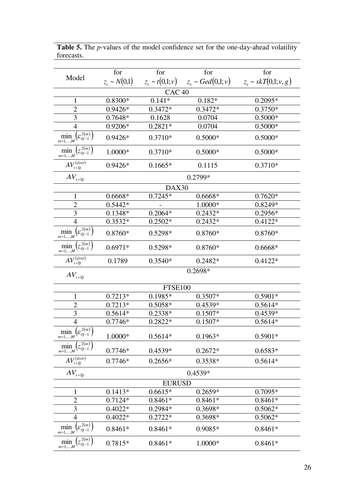|                                                           | for               | for                 | for                    | for                       |
|-----------------------------------------------------------|-------------------|---------------------|------------------------|---------------------------|
| Model                                                     | $z_t \sim N(0,1)$ | $z_t \sim t(0,1;v)$ | $z_t \sim Ged(0,1; v)$ | $z_t \sim skT(0,1; v, g)$ |
|                                                           |                   | CAC <sub>40</sub>   |                        |                           |
| 1                                                         | $0.8300*$         | $0.141*$            | $0.182*$               | $0.2095*$                 |
| $\overline{2}$                                            | 0.9426*           | 0.3472*             | 0.3472*                | $0.3750*$                 |
| 3                                                         | 0.7648*           | 0.1628              | 0.0704                 | $0.5000*$                 |
| $\overline{4}$                                            | 0.9206*           | $0.2821*$           | 0.0704                 | $0.5000*$                 |
| $c^{2(m)}$<br>$\min_{m=1,,M}(\varepsilon_{t t-1}^{2(m)})$ | $0.9426*$         | $0.3710*$           | $0.5000*$              | $0.5000*$                 |
| $\min_{m=1,,M} (z_{t t-1}^{2(m)})$                        | 1.0000*           | $0.3710*$           | $0.5000*$              | $0.5000*$                 |
| $AV_{t+1 t}^{(distr)}$                                    | $0.9426*$         | $0.1665*$           | 0.1115                 | $0.3710*$                 |
| $AV_{t+1 t}$                                              |                   |                     | 0.2799*                |                           |
|                                                           |                   | DAX30               |                        |                           |
| 1                                                         | 0.6668*           | $0.7245*$           | 0.6668*                | $0.7620*$                 |
| $\overline{2}$                                            | $0.5442*$         |                     | 1.0000*                | 0.8249*                   |
| $\mathfrak{Z}$                                            | 0.1348*           | $0.2064*$           | $0.2432*$              | $0.2956*$                 |
| $\overline{4}$                                            | $0.3532*$         | $0.2502*$           | $0.2432*$              | $0.4122*$                 |
| $\min_{m=1,,M}\left(\varepsilon_{t t-1}^{2(m)}\right)$    | 0.8760*           | 0.5298*             | $0.8760*$              | 0.8760*                   |
| $\min_{m=1,,M} (z_{t t-1}^{2(m)})$                        | $0.6971*$         | $0.5298*$           | $0.8760*$              | $0.6668*$                 |
| $AV^{(distr)}_{t+1 t}$                                    | 0.1789            | $0.3540*$           | $0.2482*$              | $0.4122*$                 |
| $AV_{\scriptscriptstyle t+1 t}$                           |                   |                     | 0.2698*                |                           |
|                                                           |                   | <b>FTSE100</b>      |                        |                           |
| 1                                                         | $0.7213*$         | 0.1985*             | $0.3507*$              | $0.5901*$                 |
| $\overline{2}$                                            | $0.7213*$         | $0.5058*$           | 0.4539*                | $0.5614*$                 |
| 3                                                         | $0.5614*$         | 0.2338*             | $0.1507*$              | $0.4539*$                 |
| $\overline{4}$                                            | $0.7746*$         | $0.2822*$           | $0.1507*$              | $0.5614*$                 |
| $\min_{m=1,,M}\left(\varepsilon_{t t-1}^{2(m)}\right)$    | 1.0000*           | $0.5614*$           | $0.1963*$              | $0.5901*$                 |
| $\min_{m=1,,M} (z_{t t-1}^{2(m)})$                        | $0.7746*$         | 0.4539*             | $0.2672*$              | $0.6583*$                 |
| $AV_{t+1 t}^{(distr)}$                                    | $0.7746*$         | $0.2656*$           | 0.3538*                | $0.5614*$                 |
| $AV_{\scriptscriptstyle t+1 t}$                           |                   |                     | 0.4539*                |                           |
|                                                           |                   | <b>EURUSD</b>       |                        |                           |
| $\mathbf{1}$                                              | $0.1413*$         | $0.6615*$           | $0.2659*$              | 0.7095*                   |
| $\overline{2}$                                            | $0.7124*$         | $0.8461*$           | $0.8461*$              | $0.8461*$                 |
| 3                                                         | $0.4022*$         | 0.2984*             | 0.3698*                | $0.5062*$                 |
| $\overline{4}$                                            | $0.4022*$         | $0.2722*$           | 0.3698*                | $0.5062*$                 |
| $\min_{m=1,,M}\left(\varepsilon_{t t-1}^{\,2(m)}\right)$  | $0.8461*$         | $0.8461*$           | $0.9085*$              | $0.8461*$                 |
| $\left( z_{t t-1}^{2(m)}\right)$<br>mın<br>$m=1,,M$       | 0.7815*           | $0.8461*$           | 1.0000*                | $0.8461*$                 |

Table 5. The *p*-values of the model confidence set for the one-day-ahead volatility forecasts.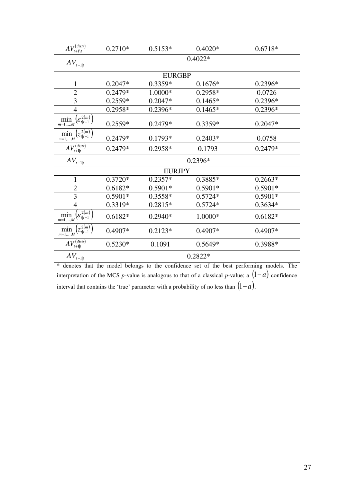| $AV_{t+1\setminus t}^{(distr)}$                              | $0.2710*$ | $0.5153*$     | $0.4020*$ | $0.6718*$ |  |
|--------------------------------------------------------------|-----------|---------------|-----------|-----------|--|
| $AV_{t+1 t}$                                                 |           |               | $0.4022*$ |           |  |
|                                                              |           | <b>EURGBP</b> |           |           |  |
| $\mathbf{1}$                                                 | $0.2047*$ | 0.3359*       | $0.1676*$ | $0.2396*$ |  |
| $\overline{2}$                                               | $0.2479*$ | $1.0000*$     | 0.2958*   | 0.0726    |  |
| 3                                                            | $0.2559*$ | $0.2047*$     | $0.1465*$ | 0.2396*   |  |
| $\overline{4}$                                               | $0.2958*$ | 0.2396*       | $0.1465*$ | $0.2396*$ |  |
| $\min_{m=1,,M}\left(\mathcal{E}_{t t-1}^{2(m)}\right)$       | $0.2559*$ | $0.2479*$     | $0.3359*$ | $0.2047*$ |  |
| $\left(z_{t t-1}^{2(m)}\right)$<br>$\min_{m=1,,M}$           | $0.2479*$ | $0.1793*$     | $0.2403*$ | 0.0758    |  |
| $AV^{(distr)}_{t+1 t}$                                       | $0.2479*$ | $0.2958*$     | 0.1793    | 0.2479*   |  |
| $AV_{t+1 t}$                                                 | $0.2396*$ |               |           |           |  |
|                                                              |           | <b>EURJPY</b> |           |           |  |
| $\mathbf{1}$                                                 | $0.3720*$ | $0.2357*$     | 0.3885*   | $0.2663*$ |  |
| $\overline{2}$                                               | $0.6182*$ | $0.5901*$     | $0.5901*$ | $0.5901*$ |  |
| 3                                                            | $0.5901*$ | $0.3558*$     | $0.5724*$ | $0.5901*$ |  |
| $\overline{4}$                                               | 0.3319*   | $0.2815*$     | $0.5724*$ | $0.3634*$ |  |
| $\left(\varepsilon_{t t-1}^{2(m)}\right)$<br>$\min_{m=1,,M}$ | $0.6182*$ | $0.2940*$     | 1.0000*   | $0.6182*$ |  |
| $(z_{t t-1}^{2(m)})$<br>$\min_{m=1,,M}$                      | 0.4907*   | $0.2123*$     | 0.4907*   | 0.4907*   |  |
| $AV_{t+1 t}^{(distr)}$                                       | $0.5230*$ | 0.1091        | $0.5649*$ | 0.3988*   |  |
| $AV_{t+1 t}$                                                 |           |               | 0.2822*   |           |  |

\* denotes that the model belongs to the confidence set of the best performing models. The interpretation of the MCS *p*-value is analogous to that of a classical *p*-value; a  $(1-a)$  confidence interval that contains the 'true' parameter with a probability of no less than  $(1-a)$ .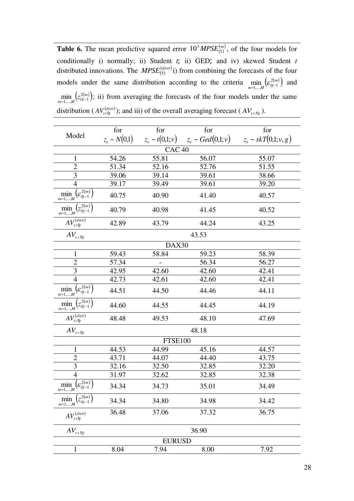**Table 6.** The mean predictive squared error  $10^3 M PSE_{(5)}^{(m)}$ , of the four models for conditionally i) normally; ii) Student *t*; ii) GED; and iv) skewed Student *t*  distributed innovations. The  $MPSE_{(5)}^{(distr)}$  i) from combining the forecasts of the four models under the same distribution according to the criteria  $\min_{m=1,...,M} \left( \varepsilon_{t|t-1}^{2(m)} \right)$ 2  $\min_{l=1,\dots,M} \left( \varepsilon_{t|t-1}^{2(m)} \right)$  and  $\min_{m=1,...,M} (z_{t|t-1}^{2(m)})$ ;  $\min_{t=1,\dots,M} (z_{t|t-1}^{2(m)})$ ; ii) from averaging the forecasts of the four models under the same distribution ( $AV_{t+5|t}^{(distr)}$ ); and iii) of the overall averaging forecast ( $AV_{t+5|t}$ ).

| Model                                                               | for               | for               | for                                                               | for   |
|---------------------------------------------------------------------|-------------------|-------------------|-------------------------------------------------------------------|-------|
|                                                                     | $z_t \sim N(0,1)$ |                   | $z_t \sim t(0,1;v)$ $z_t \sim Ged(0,1;v)$ $z_t \sim skT(0,1;v,g)$ |       |
|                                                                     |                   | CAC <sub>40</sub> |                                                                   |       |
| $\mathbf{1}$                                                        | 54.26             | 55.81             | 56.07                                                             | 55.07 |
| $\overline{2}$                                                      | 51.34             | 52.16             | 52.76                                                             | 51.55 |
| $\mathfrak{Z}$                                                      | 39.06             | 39.14             | 39.61                                                             | 38.66 |
| $\overline{4}$                                                      | 39.17             | 39.49             | 39.61                                                             | 39.20 |
| $\min_{m=1,,M}\left(\varepsilon_{t t-1}^{\,\overline{2(m)}}\right)$ | 40.75             | 40.90             | 41.40                                                             | 40.57 |
| $\min_{m=1,,M}\left(z_{t t-1}^{\overline{2(m)}}\right)$             | 40.79             | 40.98             | 41.45                                                             | 40.52 |
| $AV_{t+5 t}^{(distr)}$                                              | 42.89             | 43.79             | 44.24                                                             | 43.25 |
| $AV_{\scriptscriptstyle t+5 t}$                                     |                   |                   | 43.53                                                             |       |
|                                                                     |                   | DAX30             |                                                                   |       |
| $\mathbf{1}$                                                        | 59.43             | 58.84             | 59.23                                                             | 58.39 |
| 2                                                                   | 57.34             |                   | 56.34                                                             | 56.27 |
| 3                                                                   | 42.95             | 42.60             | 42.60                                                             | 42.41 |
| $\overline{4}$                                                      | 42.73             | 42.61             | 42.60                                                             | 42.41 |
| $\min_{m=1,,M}\left(\varepsilon_{t t-1}^{\,\overline{2(m)}}\right)$ | 44.51             | 44.50             | 44.46                                                             | 44.11 |
| $\min_{m=1,,M} (z_{t t-1}^{2(m)})$                                  | 44.60             | 44.55             | 44.45                                                             | 44.19 |
| $AV_{t+5 t}^{(distr)}$                                              | 48.48             | 49.53             | 48.10                                                             | 47.69 |
| $AV_{\scriptscriptstyle t+5 t}$                                     |                   |                   | 48.18                                                             |       |
|                                                                     |                   | FTSE100           |                                                                   |       |
| $\mathbf{1}$                                                        | 44.53             | 44.99             | 45.16                                                             | 44.57 |
| $\overline{c}$                                                      | 43.71             | 44.07             | 44.40                                                             | 43.75 |
| $\overline{\mathbf{3}}$                                             | 32.16             | 32.50             | 32.85                                                             | 32.20 |
| $\overline{4}$                                                      | 31.97             | 32.62             | 32.85                                                             | 32.38 |
| $\left( \mathcal{E}_{t t-1}^{2(m)}\right)$<br>min<br>$m=1,\ldots,M$ | 34.34             | 34.73             | 35.01                                                             | 34.49 |
| 2(m)<br>$\min_{m=1,,M}$<br>$\langle z_{t i-1} \rangle$              | 34.34             | 34.80             | 34.98                                                             | 34.42 |
| $AV_{t+5 t}^{(distr)}$                                              | 36.48             | 37.06             | 37.32                                                             | 36.75 |
| $AV_{t+5 t}$                                                        |                   |                   | 36.90                                                             |       |
|                                                                     |                   | <b>EURUSD</b>     |                                                                   |       |
| $\mathbf{1}$                                                        | 8.04              | 7.94              | 8.00                                                              | 7.92  |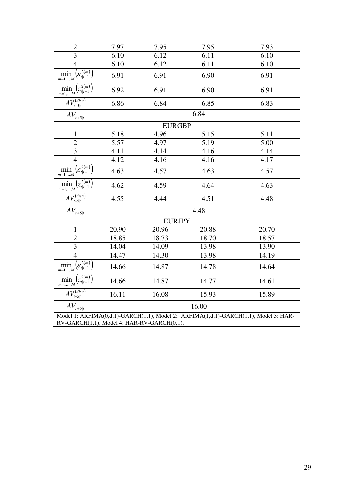| $\overline{2}$                                                    | 7.97  | 7.95          | 7.95  | 7.93                                                                                |  |
|-------------------------------------------------------------------|-------|---------------|-------|-------------------------------------------------------------------------------------|--|
| 3                                                                 | 6.10  | 6.12          | 6.11  | 6.10                                                                                |  |
| $\overline{4}$                                                    | 6.10  | 6.12          | 6.11  | 6.10                                                                                |  |
| $\min_{m=1,,M}\left(\varepsilon_{t t-1}^{\overline{2(m)}}\right)$ | 6.91  | 6.91          | 6.90  | 6.91                                                                                |  |
| $\min_{m=1,,M} (z_{t t-1}^{2(m)})$                                | 6.92  | 6.91          | 6.90  | 6.91                                                                                |  |
| $AV_{t+5 t}^{(distr)}$                                            | 6.86  | 6.84          | 6.85  | 6.83                                                                                |  |
| $AV_{t+5 t}$                                                      |       |               | 6.84  |                                                                                     |  |
|                                                                   |       | <b>EURGBP</b> |       |                                                                                     |  |
| $\mathbf{1}$                                                      | 5.18  | 4.96          | 5.15  | 5.11                                                                                |  |
| $\overline{2}$                                                    | 5.57  | 4.97          | 5.19  | 5.00                                                                                |  |
| 3                                                                 | 4.11  | 4.14          | 4.16  | 4.14                                                                                |  |
| $\overline{4}$                                                    | 4.12  | 4.16          | 4.16  | 4.17                                                                                |  |
| $\min_{m=1,,M}\left(\varepsilon_{t t-1}^{\overline{2(m)}}\right)$ | 4.63  | 4.57          | 4.63  | 4.57                                                                                |  |
| $\left( z_{t t-1}^{2(m)} \right)$<br>min<br>$m=1,\ldots,M$        | 4.62  | 4.59          | 4.64  | 4.63                                                                                |  |
| $AV_{t+5 t}^{(distr)}$                                            | 4.55  | 4.44          | 4.51  | 4.48                                                                                |  |
| $AV_{t+5 t}$                                                      |       |               | 4.48  |                                                                                     |  |
|                                                                   |       | <b>EURJPY</b> |       |                                                                                     |  |
| $\mathbf{1}$                                                      | 20.90 | 20.96         | 20.88 | 20.70                                                                               |  |
| $\overline{2}$                                                    | 18.85 | 18.73         | 18.70 | 18.57                                                                               |  |
| 3                                                                 | 14.04 | 14.09         | 13.98 | 13.90                                                                               |  |
| $\overline{4}$                                                    | 14.47 | 14.30         | 13.98 | 14.19                                                                               |  |
| $\min_{m=1,,M}\left(\varepsilon_{t t-1}^{2\overline{(m)}}\right)$ | 14.66 | 14.87         | 14.78 | 14.64                                                                               |  |
| $\min_{m=1,,M} (z_{t t-1}^{2(m)})$                                | 14.66 | 14.87         | 14.77 | 14.61                                                                               |  |
| $AV_{t+5 t}^{(distr)}$                                            | 16.11 | 16.08         | 15.93 | 15.89                                                                               |  |
| $AV_{t+5 t}$                                                      | 16.00 |               |       |                                                                                     |  |
|                                                                   |       |               |       | Model 1: ARFIMA(0,d,1)-GARCH(1,1), Model 2: ARFIMA(1,d,1)-GARCH(1,1), Model 3: HAR- |  |
| RV-GARCH(1,1), Model 4: HAR-RV-GARCH(0,1).                        |       |               |       |                                                                                     |  |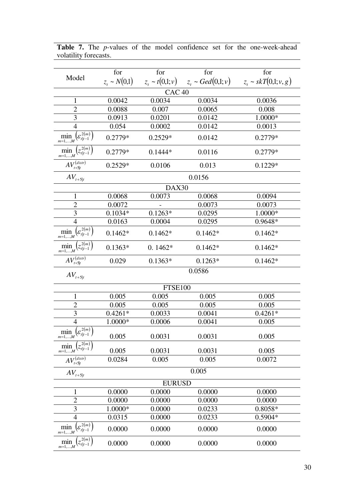|                                                                   | for               | for                 | for                   | for                       |  |  |
|-------------------------------------------------------------------|-------------------|---------------------|-----------------------|---------------------------|--|--|
| Model                                                             | $z_t \sim N(0,1)$ | $z_t \sim t(0,1;v)$ | $z_t \sim Ged(0,1;v)$ | $z_t \sim skT(0,1; v, g)$ |  |  |
| CAC <sub>40</sub>                                                 |                   |                     |                       |                           |  |  |
| $\mathbf{1}$                                                      | 0.0042            | 0.0034              | 0.0034                | 0.0036                    |  |  |
| $\overline{2}$                                                    | 0.0088            | 0.007               | 0.0065                | 0.008                     |  |  |
| 3                                                                 | 0.0913            | 0.0201              | 0.0142                | 1.0000*                   |  |  |
| $\overline{4}$                                                    | 0.054             | 0.0002              | 0.0142                | 0.0013                    |  |  |
| $\min_{m=1,,M}\left(\varepsilon_{t t-1}^{\overline{2(m)}}\right)$ | $0.2779*$         | $0.2529*$           | 0.0142                | 0.2779*                   |  |  |
| $\min_{m=1,,M} (z_{t t-1}^{2(m)})$                                | 0.2779*           | $0.1444*$           | 0.0116                | $0.2779*$                 |  |  |
| $AV^{(distr)}_{t+5 t}$                                            | $0.2529*$         | 0.0106              | 0.013                 | $0.1229*$                 |  |  |
| $AV_{t+5 t}$                                                      |                   |                     | 0.0156                |                           |  |  |
|                                                                   |                   | DAX30               |                       |                           |  |  |
| $\mathbf{1}$                                                      | 0.0068            | 0.0073              | 0.0068                | 0.0094                    |  |  |
| $\overline{c}$                                                    | 0.0072            |                     | 0.0073                | 0.0073                    |  |  |
| 3                                                                 | $0.1034*$         | $0.1263*$           | 0.0295                | 1.0000*                   |  |  |
| $\overline{4}$                                                    | 0.0163            | 0.0004              | 0.0295                | 0.9648*                   |  |  |
| $\min_{m=1,,M}\left(\varepsilon_{t t-1}^{2(m)}\right)$            | $0.1462*$         | $0.1462*$           | $0.1462*$             | $0.1462*$                 |  |  |
| $\min_{m=1,,M} (z_{t t-1}^{2(m)})$                                | $0.1363*$         | $0.1462*$           | $0.1462*$             | $0.1462*$                 |  |  |
| $AV_{t+5 t}^{(distr)}$                                            | 0.029             | $0.1363*$           | $0.1263*$             | $0.1462*$                 |  |  |
| $AV_{t+5 t}$                                                      | 0.0586            |                     |                       |                           |  |  |
|                                                                   | <b>FTSE100</b>    |                     |                       |                           |  |  |
| 1                                                                 | 0.005             | 0.005               | 0.005                 | 0.005                     |  |  |
| $\overline{2}$                                                    | 0.005             | 0.005               | 0.005                 | 0.005                     |  |  |
| 3                                                                 | $0.4261*$         | 0.0033              | 0.0041                | $0.4261*$                 |  |  |
| $\overline{4}$                                                    | 1.0000*           | 0.0006              | 0.0041                | 0.005                     |  |  |
| $\min_{m=1,,M}\left(\varepsilon_{t t-1}^{\overline{2(m)}}\right)$ | 0.005             | 0.0031              | 0.0031                | 0.005                     |  |  |
| $\min_{m=1,,M}\left(z_{t t-1}^{2\overline{(m)}}\right)$           | 0.005             | 0.0031              | 0.0031                | 0.005                     |  |  |
| $AV_{t+5 t}^{(distr)}$                                            | 0.0284            | 0.005               | 0.005                 | 0.0072                    |  |  |
| $AV_{\scriptscriptstyle t+5 t}$                                   |                   |                     | 0.005                 |                           |  |  |
| <b>EURUSD</b>                                                     |                   |                     |                       |                           |  |  |
| $\mathbf{1}$                                                      | 0.0000            | 0.0000              | 0.0000                | 0.0000                    |  |  |
| $\overline{2}$                                                    | 0.0000            | 0.0000              | 0.0000                | 0.0000                    |  |  |
| 3                                                                 | 1.0000*           | 0.0000              | 0.0233                | 0.8058*                   |  |  |
| $\overline{4}$                                                    | 0.0315            | 0.0000              | 0.0233                | $0.5904*$                 |  |  |
| $\left(\varepsilon_{t t-1}^{2(m)}\right)$<br>$\min_{m=1,,M}$      | 0.0000            | 0.0000              | 0.0000                | 0.0000                    |  |  |
| $\left(z_{t t-1}^{2(m)}\right)$<br>$\min_{m=1,,M}$                | 0.0000            | 0.0000              | 0.0000                | 0.0000                    |  |  |

Table 7. The *p*-values of the model confidence set for the one-week-ahead volatility forecasts.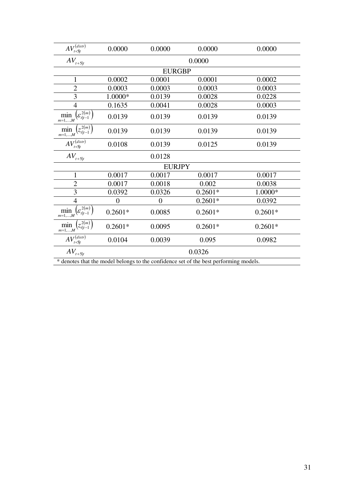| $AV_{t+5 t}^{(distr)}$                                                                | 0.0000    | 0.0000           | 0.0000    | 0.0000    |  |  |
|---------------------------------------------------------------------------------------|-----------|------------------|-----------|-----------|--|--|
| $AV_{t+5 t}$                                                                          | 0.0000    |                  |           |           |  |  |
|                                                                                       |           | <b>EURGBP</b>    |           |           |  |  |
| $\mathbf{1}$                                                                          | 0.0002    | 0.0001           | 0.0001    | 0.0002    |  |  |
| $\overline{2}$                                                                        | 0.0003    | 0.0003           | 0.0003    | 0.0003    |  |  |
| 3                                                                                     | 1.0000*   | 0.0139           | 0.0028    | 0.0228    |  |  |
| $\overline{4}$                                                                        | 0.1635    | 0.0041           | 0.0028    | 0.0003    |  |  |
| $\min_{m=1,,M}\left(\varepsilon_{t t-1}^{\,2(m)}\right)$                              | 0.0139    | 0.0139           | 0.0139    | 0.0139    |  |  |
| $(z_{t t-1}^{2(m)})$<br>$\min_{m=1,,M}$                                               | 0.0139    | 0.0139           | 0.0139    | 0.0139    |  |  |
| $AV_{t+5 t}^{(distr)}$                                                                | 0.0108    | 0.0139           | 0.0125    | 0.0139    |  |  |
| $AV_{t+5 t}$                                                                          |           | 0.0128           |           |           |  |  |
| <b>EURJPY</b>                                                                         |           |                  |           |           |  |  |
| $\mathbf{1}$                                                                          | 0.0017    | 0.0017           | 0.0017    | 0.0017    |  |  |
| $\overline{2}$                                                                        | 0.0017    | 0.0018           | 0.002     | 0.0038    |  |  |
| 3                                                                                     | 0.0392    | 0.0326           | $0.2601*$ | 1.0000*   |  |  |
| $\overline{4}$                                                                        | 0         | $\boldsymbol{0}$ | $0.2601*$ | 0.0392    |  |  |
| $\min_{m=1,,M}\left(\varepsilon_{t t-1}^{\,2(m)}\right)$                              | $0.2601*$ | 0.0085           | $0.2601*$ | $0.2601*$ |  |  |
| $(z_{t t-1}^{2(m)})$<br>$\min_{m=1,,M}$                                               | $0.2601*$ | 0.0095           | $0.2601*$ | $0.2601*$ |  |  |
| $AV_{t+5 t}^{(distr)}$                                                                | 0.0104    | 0.0039           | 0.095     | 0.0982    |  |  |
| $AV_{t+5 t}$                                                                          | 0.0326    |                  |           |           |  |  |
| * denotes that the model belongs to the confidence set of the best performing models. |           |                  |           |           |  |  |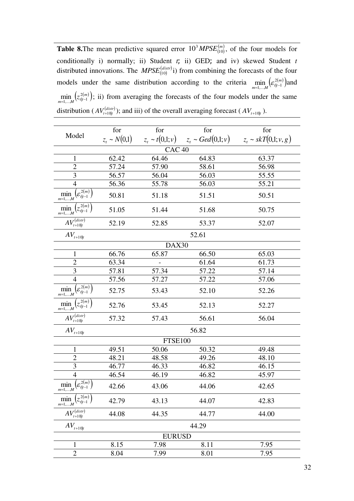**Table 8.**The mean predictive squared error  $10^3 M PSE_{(10)}^{(m)}$ , of the four models for conditionally i) normally; ii) Student *t*; ii) GED; and iv) skewed Student *t*  distributed innovations. The  $MPSE^{(disr)}_{(10)}$  i) from combining the forecasts of the four models under the same distribution according to the criteria  $\min_{m=1,...,M} \left( \varepsilon_{t|t-1}^{2(m)} \right)$  a 2  $\min_{l=1,...,M} (\varepsilon_{l|l-1}^{2(m)})$  and  $\min_{m=1,...,M} (z_{t|t-1}^{2(m)})$ ;  $\min_{i=1,...,M} (z_{t|t-1}^{2(m)})$ ; ii) from averaging the forecasts of the four models under the same distribution ( $AV_{t+10|t}^{(distr)}$ ); and iii) of the overall averaging forecast ( $AV_{t+10|t}$ ).

| for               | for                        | for   | for                                                                 |  |  |  |
|-------------------|----------------------------|-------|---------------------------------------------------------------------|--|--|--|
|                   |                            |       | $z_t \sim skT(0,1; v, g)$                                           |  |  |  |
| CAC <sub>40</sub> |                            |       |                                                                     |  |  |  |
| 62.42             | 64.46                      | 64.83 | 63.37                                                               |  |  |  |
| 57.24             | 57.90                      | 58.61 | 56.98                                                               |  |  |  |
| 56.57             | 56.04                      | 56.03 | 55.55                                                               |  |  |  |
| 56.36             | 55.78                      | 56.03 | 55.21                                                               |  |  |  |
| 50.81             | 51.18                      | 51.51 | 50.51                                                               |  |  |  |
| 51.05             | 51.44                      | 51.68 | 50.75                                                               |  |  |  |
| 52.19             | 52.85                      | 53.37 | 52.07                                                               |  |  |  |
|                   |                            | 52.61 |                                                                     |  |  |  |
|                   |                            |       |                                                                     |  |  |  |
| 66.76             | 65.87                      | 66.50 | 65.03                                                               |  |  |  |
| 63.34             |                            | 61.64 | 61.73                                                               |  |  |  |
| 57.81             | 57.34                      | 57.22 | 57.14                                                               |  |  |  |
|                   | 57.27                      | 57.22 | 57.06                                                               |  |  |  |
| 52.75             | 53.43                      | 52.10 | 52.26                                                               |  |  |  |
| 52.76             | 53.45                      | 52.13 | 52.27                                                               |  |  |  |
| 57.32             | 57.43                      | 56.61 | 56.04                                                               |  |  |  |
| 56.82             |                            |       |                                                                     |  |  |  |
| <b>FTSE100</b>    |                            |       |                                                                     |  |  |  |
| 49.51             | 50.06                      | 50.32 | 49.48                                                               |  |  |  |
| 48.21             |                            | 49.26 | 48.10                                                               |  |  |  |
| 46.77             | 46.33                      | 46.82 | 46.15                                                               |  |  |  |
| 46.54             | 46.19                      | 46.82 | 45.97                                                               |  |  |  |
| 42.66             | 43.06                      | 44.06 | 42.65                                                               |  |  |  |
| 42.79             | 43.13                      | 44.07 | 42.83                                                               |  |  |  |
| 44.08             | 44.35                      | 44.77 | 44.00                                                               |  |  |  |
| 44.29             |                            |       |                                                                     |  |  |  |
| $\mathbf{1}$      |                            |       |                                                                     |  |  |  |
| 8.15              | 7.98                       | 8.11  | 7.95                                                                |  |  |  |
| 8.04              | 7.99                       | 8.01  | 7.95                                                                |  |  |  |
|                   | $z_t \sim N(0,1)$<br>57.56 | 48.58 | $z_t \sim t(0,1;v)$ $z_t \sim Ged(0,1;v)$<br>DAX30<br><b>EURUSD</b> |  |  |  |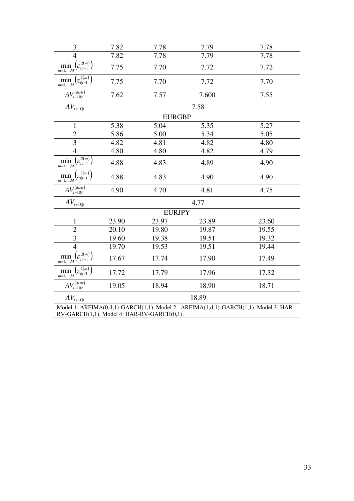| 3                                                                 | 7.82  | 7.78          | 7.79  | 7.78                                                                                |  |
|-------------------------------------------------------------------|-------|---------------|-------|-------------------------------------------------------------------------------------|--|
| $\overline{4}$                                                    | 7.82  | 7.78          | 7.79  | 7.78                                                                                |  |
| $\min_{m=1,,M}\left(\varepsilon_{t t-1}^{\overline{2(m)}}\right)$ | 7.75  | 7.70          | 7.72  | 7.72                                                                                |  |
| $\left(z_{t t-1}^{2(m)}\right)$<br>$\min_{m=1,,M}$                | 7.75  | 7.70          | 7.72  | 7.70                                                                                |  |
| $AV_{t+10 t}^{(distr)}$                                           | 7.62  | 7.57          | 7.600 | 7.55                                                                                |  |
| $AV_{t+10 t}$                                                     |       |               | 7.58  |                                                                                     |  |
|                                                                   |       | <b>EURGBP</b> |       |                                                                                     |  |
| $\mathbf{1}$                                                      | 5.38  | 5.04          | 5.35  | 5.27                                                                                |  |
| $\overline{c}$                                                    | 5.86  | 5.00          | 5.34  | 5.05                                                                                |  |
| $\overline{3}$                                                    | 4.82  | 4.81          | 4.82  | 4.80                                                                                |  |
| $\overline{4}$                                                    | 4.80  | 4.80          | 4.82  | 4.79                                                                                |  |
| $\min_{m=1,,M}\left(\varepsilon_{t t-1}^{2(m)}\right)$            | 4.88  | 4.83          | 4.89  | 4.90                                                                                |  |
| $(z_{t t-1}^{2(m)})$<br>$\min_{m=1,,M}$                           | 4.88  | 4.83          | 4.90  | 4.90                                                                                |  |
| $AV_{t+10 t}^{(distr)}$                                           | 4.90  | 4.70          | 4.81  | 4.75                                                                                |  |
| $AV_{t+10 t}$                                                     |       |               | 4.77  |                                                                                     |  |
|                                                                   |       | <b>EURJPY</b> |       |                                                                                     |  |
| $\mathbf{1}$                                                      | 23.90 | 23.97         | 23.89 | 23.60                                                                               |  |
| $\overline{c}$                                                    | 20.10 | 19.80         | 19.87 | 19.55                                                                               |  |
| $\overline{\mathbf{3}}$                                           | 19.60 | 19.38         | 19.51 | 19.32                                                                               |  |
| $\overline{4}$                                                    | 19.70 | 19.53         | 19.51 | 19.44                                                                               |  |
| $\min_{m=1,,M}\left(\varepsilon_{t t-1}^{\overline{2(m)}}\right)$ | 17.67 | 17.74         | 17.90 | 17.49                                                                               |  |
| $\min_{m=1,,M}\left(\overline{z_{t t-1}^{2(m)}}\right)$           | 17.72 | 17.79         | 17.96 | 17.32                                                                               |  |
| $AV_{t+10 t}^{(distr)}$                                           | 19.05 | 18.94         | 18.90 | 18.71                                                                               |  |
| $AV_{t+10 t}$                                                     | 18.89 |               |       |                                                                                     |  |
|                                                                   |       |               |       | Model 1: ARFIMA(0,d,1)-GARCH(1,1), Model 2: ARFIMA(1,d,1)-GARCH(1,1), Model 3: HAR- |  |

RV-GARCH(1,1), Model 4: HAR-RV-GARCH(0,1).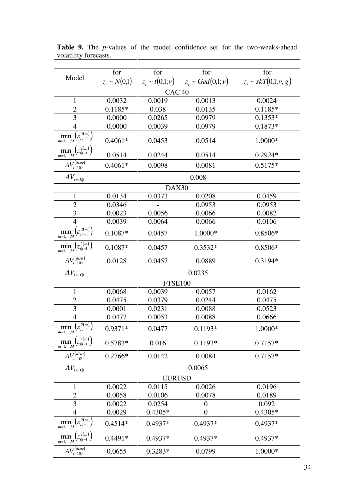|                                                                    | for               | for                 | for                          | for                       |  |  |
|--------------------------------------------------------------------|-------------------|---------------------|------------------------------|---------------------------|--|--|
| Model                                                              | $z_t \sim N(0,1)$ |                     | $z_t \sim \text{Ge}d(0,1;v)$ | $z_t \sim skT(0,1; v, g)$ |  |  |
|                                                                    |                   | $z_t \sim t(0,1;v)$ |                              |                           |  |  |
|                                                                    | CAC <sub>40</sub> |                     |                              |                           |  |  |
| $\mathbf 1$                                                        | 0.0032            | 0.0019              | 0.0013                       | 0.0024                    |  |  |
| $\overline{2}$                                                     | $0.1185*$         | 0.038               | 0.0135                       | $0.1185*$                 |  |  |
| $\mathfrak{Z}$                                                     | 0.0000            | 0.0265              | 0.0979                       | $0.1353*$                 |  |  |
| $\overline{4}$                                                     | 0.0000            | 0.0039              | 0.0979                       | 0.1873*                   |  |  |
| $\min_{m=1,,M}\left(\varepsilon_{t t-1}^{\overline{2(m)}}\right)$  | $0.4061*$         | 0.0453              | 0.0514                       | 1.0000*                   |  |  |
| $\min_{m=1,,M} (z_{t t-1}^{2(m)})$                                 | 0.0514            | 0.0244              | 0.0514                       | 0.2924*                   |  |  |
| $AV_{t+10 t}^{(distr)}$                                            | $0.4061*$         | 0.0098              | 0.0081                       | $0.5175*$                 |  |  |
| $AV_{\boldsymbol{t}+10 \boldsymbol{t}}$                            |                   |                     | 0.008                        |                           |  |  |
|                                                                    |                   | DAX30               |                              |                           |  |  |
| $\mathbf{1}$                                                       | 0.0134            | 0.0373              | 0.0208                       | 0.0459                    |  |  |
| $\overline{2}$                                                     | 0.0346            |                     | 0.0953                       | 0.0953                    |  |  |
| 3                                                                  | 0.0023            | 0.0056              | 0.0066                       | 0.0082                    |  |  |
| $\overline{4}$                                                     | 0.0039            | 0.0064              | 0.0066                       | 0.0106                    |  |  |
| $\min_{m=1,,M}\left(\varepsilon_{t t-1}^{\overline{2(m)}}\right)$  | $0.1087*$         | 0.0457              | 1.0000*                      | 0.8506*                   |  |  |
| $\min_{m=1,,M} (z_{t t-1}^{2(m)})$                                 | $0.1087*$         | 0.0457              | $0.3532*$                    | 0.8506*                   |  |  |
| $AV_{t+10 t}^{(distr)}$                                            | 0.0128            | 0.0457              | 0.0889                       | 0.3194*                   |  |  |
| $AV_{\scriptscriptstyle t+10 t}$                                   | 0.0235            |                     |                              |                           |  |  |
|                                                                    | <b>FTSE100</b>    |                     |                              |                           |  |  |
| $\mathbf{1}$                                                       | 0.0068            | 0.0039              | 0.0057                       | 0.0162                    |  |  |
| $\overline{2}$                                                     | 0.0475            | 0.0379              | 0.0244                       | 0.0475                    |  |  |
| 3                                                                  | 0.0001            | 0.0231              | 0.0088                       | 0.0523                    |  |  |
| $\overline{4}$                                                     | 0.0477            | 0.0053              | 0.0088                       | 0.0666                    |  |  |
| $\min_{m=1,,M}\Bigl(\varepsilon_{t t-1}^{\overline{2(m)}}\Bigr)$   | 0.9371*           | 0.0477              | $0.1193*$                    | 1.0000*                   |  |  |
| $(z_{t t-1}^{2(m)})$<br>$\min_{m=1,,M}$                            | $0.5783*$         | 0.016               | $0.1193*$                    | $0.7157*$                 |  |  |
| $AV_{t+10\text{W}}^{(distr)}$                                      | 0.2766*           | 0.0142              | 0.0084                       | $0.7157*$                 |  |  |
| $AV_{t+10 t}$                                                      | 0.0065            |                     |                              |                           |  |  |
| <b>EURUSD</b>                                                      |                   |                     |                              |                           |  |  |
| 1                                                                  | 0.0022            | 0.0115              | 0.0026                       | 0.0196                    |  |  |
| $\overline{2}$                                                     | 0.0058            | 0.0106              | 0.0078                       | 0.0189                    |  |  |
| 3                                                                  | 0.0022            | 0.0254              | $\boldsymbol{0}$             | 0.092                     |  |  |
| $\overline{4}$                                                     | 0.0029            | $0.4305*$           | $\overline{0}$               | $0.4305*$                 |  |  |
| $\min_{m=1,,M}\Bigl(\varepsilon_{t t-1}^{\,\overline{2(m)}}\Bigr)$ | $0.4514*$         | 0.4937*             | 0.4937*                      | 0.4937*                   |  |  |
| $z_{t t-1}^{2(m)}$<br>min<br>$m=1,,M$                              | $0.4491*$         | 0.4937*             | $0.4937*$                    | $0.4937*$                 |  |  |
| $AV_{t+10 t}^{(distr)}$                                            | 0.0655            | $0.3283*$           | 0.0799                       | 1.0000*                   |  |  |

Table 9. The *p*-values of the model confidence set for the two-weeks-ahead volatility forecasts.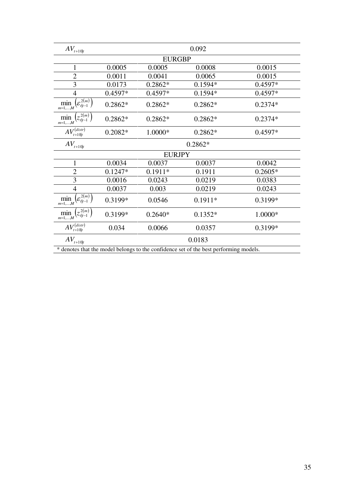| $AV_{t+10 t}$                                                                         | 0.092         |           |           |           |  |  |
|---------------------------------------------------------------------------------------|---------------|-----------|-----------|-----------|--|--|
|                                                                                       | <b>EURGBP</b> |           |           |           |  |  |
| $\mathbf{1}$                                                                          | 0.0005        | 0.0005    | 0.0008    | 0.0015    |  |  |
| $\overline{c}$                                                                        | 0.0011        | 0.0041    | 0.0065    | 0.0015    |  |  |
| $\overline{3}$                                                                        | 0.0173        | $0.2862*$ | $0.1594*$ | 0.4597*   |  |  |
| $\overline{4}$                                                                        | 0.4597*       | $0.4597*$ | $0.1594*$ | 0.4597*   |  |  |
| $\min_{m=1,,M}\left(\varepsilon_{t t-1}^{2\overline{(m)}}\right)$                     | $0.2862*$     | 0.2862*   | $0.2862*$ | $0.2374*$ |  |  |
| $\min_{m=1,,M}\left(z_{t t-1}^{2\overline{(m)}}\right)$                               | 0.2862*       | $0.2862*$ | $0.2862*$ | 0.2374*   |  |  |
| $AV_{t+10 t}^{(distr)}$                                                               | $0.2082*$     | 1.0000*   | $0.2862*$ | $0.4597*$ |  |  |
| $AV_{t+10 t}$                                                                         | $0.2862*$     |           |           |           |  |  |
|                                                                                       | <b>EURJPY</b> |           |           |           |  |  |
| $\mathbf{1}$                                                                          | 0.0034        | 0.0037    | 0.0037    | 0.0042    |  |  |
| $\overline{c}$                                                                        | $0.1247*$     | $0.1911*$ | 0.1911    | $0.2605*$ |  |  |
| 3                                                                                     | 0.0016        | 0.0243    | 0.0219    | 0.0383    |  |  |
| $\overline{4}$                                                                        | 0.0037        | 0.003     | 0.0219    | 0.0243    |  |  |
| $\min_{m=1,,M}\left(\varepsilon_{t t-1}^{2(m)}\right)$                                | 0.3199*       | 0.0546    | $0.1911*$ | 0.3199*   |  |  |
| $\min_{m=1,,M}\left(z_{t t-1}^{2\overline{(m)}}\right)$                               | 0.3199*       | $0.2640*$ | $0.1352*$ | 1.0000*   |  |  |
| $AV_{t+10 t}^{(distr)}$                                                               | 0.034         | 0.0066    | 0.0357    | 0.3199*   |  |  |
| $AV_{t+10 t}$                                                                         | 0.0183        |           |           |           |  |  |
| * denotes that the model belongs to the confidence set of the best performing models. |               |           |           |           |  |  |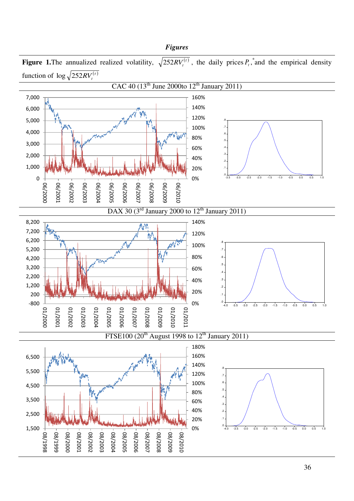# *Figures*

**Figure 1.**The annualized realized volatility,  $\sqrt{252RV_t^{(r)}}$ , the daily prices  $P_t$ , and the empirical density function of  $\log \sqrt{252RV_t^{(\tau)}}$ 

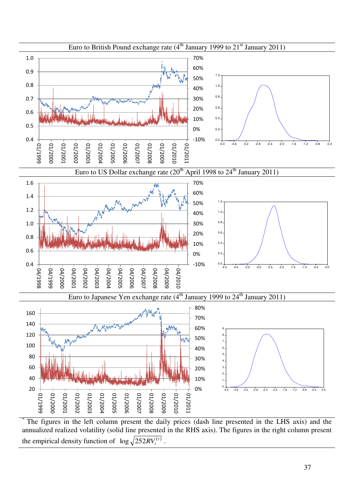

The figures in the left column present the daily prices (dash line presented in the LHS axis) and the annualized realized volatility (solid line presented in the RHS axis). The figures in the right column present the empirical density function of  $\log \sqrt{252RV_t^{(r)}}$ .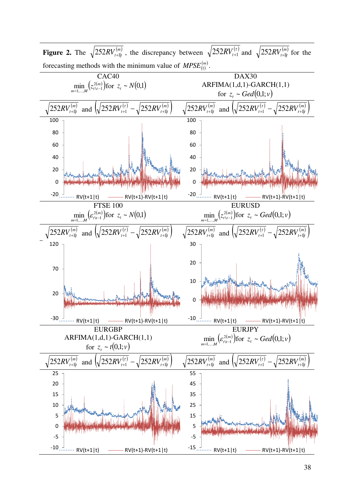

**Figure 2.** The  $\sqrt{252RV_{t+1|t}^{(m)}}$ , the discrepancy between  $\sqrt{252RV_{t+1|t}^{(r)}}$  and  $\sqrt{252RV_{t+1|t}^{(m)}}$  for the forecasting methods with the minimum value of  $MPSE_{(1)}^{(m)}$ .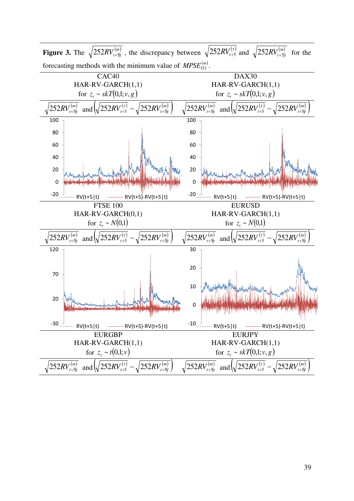

**Figure 3.** The  $\sqrt{252RV_{t+5|t}^{(m)}}$ , the discrepancy between  $\sqrt{252RV_{t+5}^{(r)}}$  and  $\sqrt{252RV_{t+5|t}^{(m)}}$  for the forecasting methods with the minimum value of  $MPSE_{(5)}^{(m)}$ .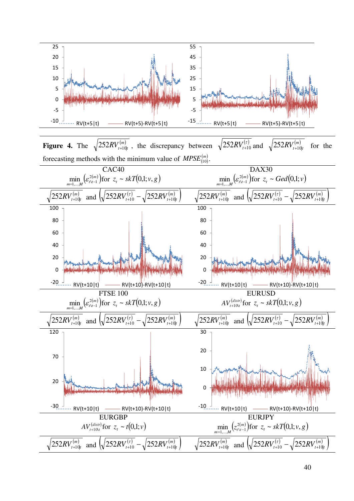

**Figure 4.** The  $\sqrt{252RV^{(m)}_{t+10t}}$ , the discrepancy between  $\sqrt{252RV^{(t)}_{t+10}}$  and  $\sqrt{252RV^{(m)}_{t+10t}}$  for the forecasting methods with the minimum value of  $MPSE^{(m)}_{(10)}$ .